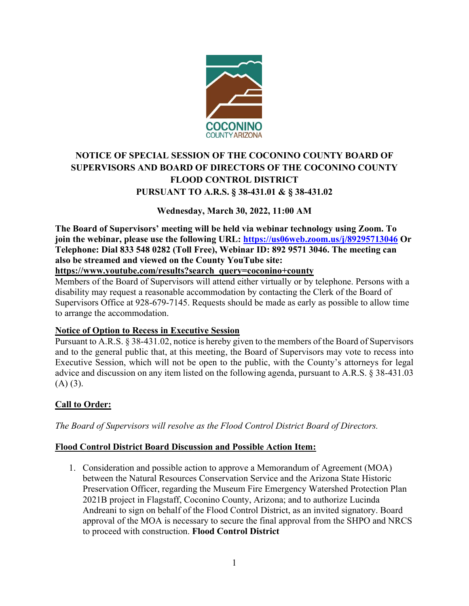

### NOTICE OF SPECIAL SESSION OF THE COCONINO COUNTY BOARD OF SUPERVISORS AND BOARD OF DIRECTORS OF THE COCONINO COUNTY FLOOD CONTROL DISTRICT PURSUANT TO A.R.S. § 38-431.01 & § 38-431.02

### Wednesday, March 30, 2022, 11:00 AM

The Board of Supervisors' meeting will be held via webinar technology using Zoom. To join the webinar, please use the following URL: https://us06web.zoom.us/j/89295713046 Or Telephone: Dial 833 548 0282 (Toll Free), Webinar ID: 892 9571 3046. The meeting can also be streamed and viewed on the County YouTube site:

https://www.youtube.com/results?search\_query=coconino+county

Members of the Board of Supervisors will attend either virtually or by telephone. Persons with a disability may request a reasonable accommodation by contacting the Clerk of the Board of Supervisors Office at 928-679-7145. Requests should be made as early as possible to allow time to arrange the accommodation.

### Notice of Option to Recess in Executive Session

Pursuant to A.R.S. § 38-431.02, notice is hereby given to the members of the Board of Supervisors and to the general public that, at this meeting, the Board of Supervisors may vote to recess into Executive Session, which will not be open to the public, with the County's attorneys for legal advice and discussion on any item listed on the following agenda, pursuant to A.R.S. § 38-431.03  $(A)$   $(3)$ .

### Call to Order:

The Board of Supervisors will resolve as the Flood Control District Board of Directors.

### Flood Control District Board Discussion and Possible Action Item:

**1. Solution and possible Sylutic Search denotes the Floriday of the Floriday of the Board of Supervisors will attend criter virtually or by telephone. Persons with a biblity may request a reasonable accommodation by conta** between the Natural Resources Conservation Service and the Arizona State Historic Preservation Officer, regarding the Museum Fire Emergency Watershed Protection Plan 2021B project in Flagstaff, Coconino County, Arizona; and to authorize Lucinda Andreani to sign on behalf of the Flood Control District, as an invited signatory. Board approval of the MOA is necessary to secure the final approval from the SHPO and NRCS to proceed with construction. Flood Control District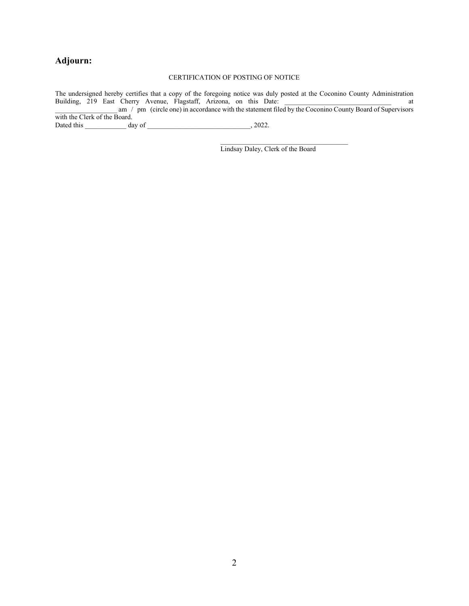### Adjourn:

#### CERTIFICATION OF POSTING OF NOTICE

The undersigned hereby certifies that a copy of the foregoing notice was duly posted at the Coconino County Administration Building, 219 East Cherry Avenue, Flagstaff, Arizona, on this Date: \_\_\_\_\_\_\_\_\_\_\_\_\_\_\_\_\_\_\_\_\_\_\_\_\_\_\_\_\_\_\_ at  $\alpha$   $\mu$  pm (circle one) in accordance with the statement filed by the Coconino County Board of Supervisors with the Clerk of the Board. Dated this \_\_\_\_\_\_\_\_\_\_\_\_ day of \_\_\_\_\_\_\_\_\_\_\_\_\_\_\_\_\_\_\_\_\_\_\_\_\_\_\_\_\_\_, 2022.

Lindsay Daley, Clerk of the Board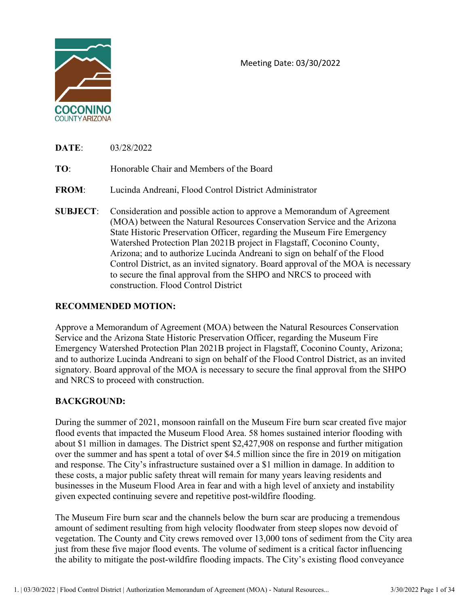

Meeting Date: 03/30/2022

| <b>DATE:</b> | 03/28/2022 |
|--------------|------------|
|              |            |

Meeting Date: 03/30/2022<br>
Meeting Date: 03/30/2022<br>
TO: Honorable Chair and Members of the Board<br>
FROM: Lucinda Andreani, Flood Control District Administrator<br>
SUBJECT: Consideration and possible action to approve a Memora Meeting Date: 03/30/2022<br>
Meeting Date: 03/30/2022<br>
SOCONINO<br>
DATE: 03/28/2022<br>
TO: Honorable Chair and Members of the Board<br>
FROM: Lucinda Andreani, Flood Control District Administrator<br>
SUBJECT: Consideration and possibl (MOA) between the Natural Resources Conservation Service and the Arizona State Historic Preservation Officer, regarding the Museum Fire Emergency Watershed Protection Plan 2021B project in Flagstaff, Coconino County, Arizona; and to authorize Lucinda Andreani to sign on behalf of the Flood Control District, as an invited signatory. Board approval of the MOA is necessary to secure the final approval from the SHPO and NRCS to proceed with construction. Flood Control District

### RECOMMENDED MOTION:

Approve a Memorandum of Agreement (MOA) between the Natural Resources Conservation Service and the Arizona State Historic Preservation Officer, regarding the Museum Fire Emergency Watershed Protection Plan 2021B project in Flagstaff, Coconino County, Arizona; and to authorize Lucinda Andreani to sign on behalf of the Flood Control District, as an invited signatory. Board approval of the MOA is necessary to secure the final approval from the SHPO and NRCS to proceed with construction.

### BACKGROUND:

During the summer of 2021, monsoon rainfall on the Museum Fire burn scar created five major flood events that impacted the Museum Flood Area. 58 homes sustained interior flooding with about \$1 million in damages. The District spent \$2,427,908 on response and further mitigation over the summer and has spent a total of over \$4.5 million since the fire in 2019 on mitigation and response. The City's infrastructure sustained over a \$1 million in damage. In addition to these costs, a major public safety threat will remain for many years leaving residents and businesses in the Museum Flood Area in fear and with a high level of anxiety and instability given expected continuing severe and repetitive post-wildfire flooding.

The Museum Fire burn scar and the channels below the burn scar are producing a tremendous amount of sediment resulting from high velocity floodwater from steep slopes now devoid of vegetation. The County and City crews removed over 13,000 tons of sediment from the City area just from these five major flood events. The volume of sediment is a critical factor influencing the ability to mitigate the post-wildfire flooding impacts. The City's existing flood conveyance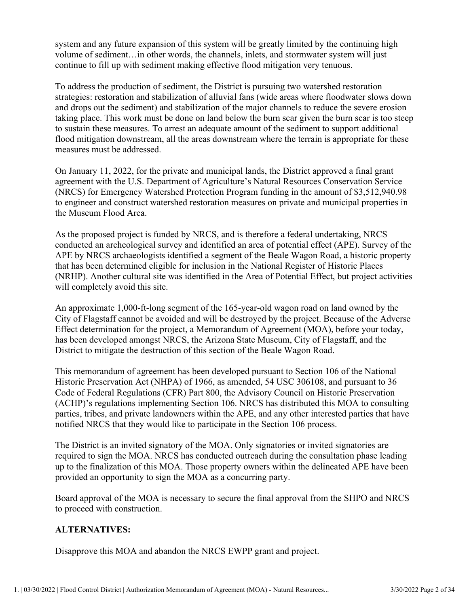system and any future expansion of this system will be greatly limited by the continuing high volume of sediment…in other words, the channels, inlets, and stormwater system will just continue to fill up with sediment making effective flood mitigation very tenuous.

To address the production of sediment, the District is pursuing two watershed restoration strategies: restoration and stabilization of alluvial fans (wide areas where floodwater slows down and drops out the sediment) and stabilization of the major channels to reduce the severe erosion taking place. This work must be done on land below the burn scar given the burn scar is too steep to sustain these measures. To arrest an adequate amount of the sediment to support additional flood mitigation downstream, all the areas downstream where the terrain is appropriate for these measures must be addressed.

On January 11, 2022, for the private and municipal lands, the District approved a final grant agreement with the U.S. Department of Agriculture's Natural Resources Conservation Service (NRCS) for Emergency Watershed Protection Program funding in the amount of \$3,512,940.98 to engineer and construct watershed restoration measures on private and municipal properties in the Museum Flood Area.

As the proposed project is funded by NRCS, and is therefore a federal undertaking, NRCS conducted an archeological survey and identified an area of potential effect (APE). Survey of the APE by NRCS archaeologists identified a segment of the Beale Wagon Road, a historic property that has been determined eligible for inclusion in the National Register of Historic Places (NRHP). Another cultural site was identified in the Area of Potential Effect, but project activities will completely avoid this site.

An approximate 1,000-ft-long segment of the 165-year-old wagon road on land owned by the City of Flagstaff cannot be avoided and will be destroyed by the project. Because of the Adverse Effect determination for the project, a Memorandum of Agreement (MOA), before your today, has been developed amongst NRCS, the Arizona State Museum, City of Flagstaff, and the District to mitigate the destruction of this section of the Beale Wagon Road.

This memorandum of agreement has been developed pursuant to Section 106 of the National Historic Preservation Act (NHPA) of 1966, as amended, 54 USC 306108, and pursuant to 36 Code of Federal Regulations (CFR) Part 800, the Advisory Council on Historic Preservation (ACHP)'s regulations implementing Section 106. NRCS has distributed this MOA to consulting parties, tribes, and private landowners within the APE, and any other interested parties that have notified NRCS that they would like to participate in the Section 106 process.

The District is an invited signatory of the MOA. Only signatories or invited signatories are required to sign the MOA. NRCS has conducted outreach during the consultation phase leading up to the finalization of this MOA. Those property owners within the delineated APE have been provided an opportunity to sign the MOA as a concurring party.

Board approval of the MOA is necessary to secure the final approval from the SHPO and NRCS to proceed with construction.

### ALTERNATIVES:

Disapprove this MOA and abandon the NRCS EWPP grant and project.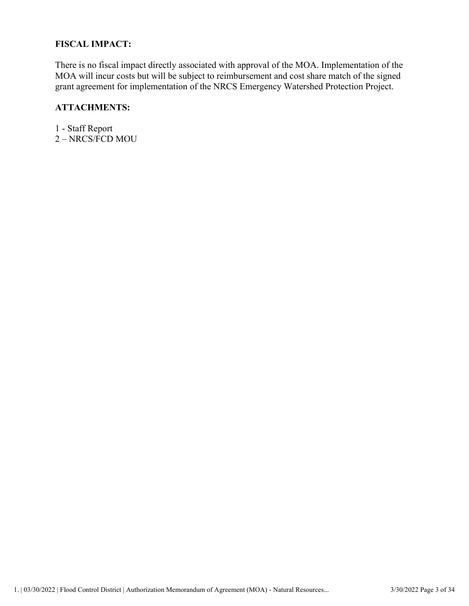### FISCAL IMPACT:

There is no fiscal impact directly associated with approval of the MOA. Implementation of the MOA will incur costs but will be subject to reimbursement and cost share match of the signed grant agreement for implementation of the NRCS Emergency Watershed Protection Project.

#### ATTACHMENTS:

1 - Staff Report 2 – NRCS/FCD MOU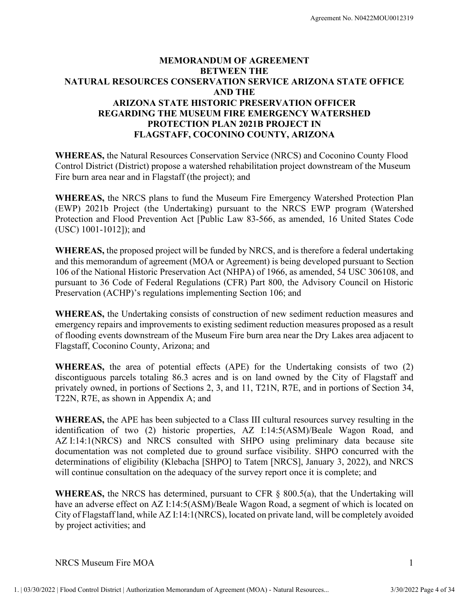# MEMORANDUM OF AGREEMENT BETWEEN THE NATURAL RESOURCES CONSERVATION SERVICE ARIZONA STATE OFFICE AND THE ARIZONA STATE HISTORIC PRESERVATION OFFICER REGARDING THE MUSEUM FIRE EMERGENCY WATERSHED PROTECTION PLAN 2021B PROJECT IN FLAGSTAFF, COCONINO COUNTY, ARIZONA MATURAL RESOURCES CONSERVENT THE<br>
ARIZONA STATE HISTORIC PRESERVATION OFFICER<br>
ARIZONA STATE HISTORIC PRESERVATION OFFICER<br>
REGARDING THE MUSEUM PIRE EMBRECENCY WATERSHED<br>
FROTECTION PLAN 2021B PROJECT IN<br>
FLAGSTAFF, COCON

WHEREAS, the Natural Resources Conservation Service (NRCS) and Coconino County Flood Control District (District) propose a watershed rehabilitation project downstream of the Museum Fire burn area near and in Flagstaff (the project); and

WHEREAS, the NRCS plans to fund the Museum Fire Emergency Watershed Protection Plan (EWP) 2021b Project (the Undertaking) pursuant to the NRCS EWP program (Watershed Protection and Flood Prevention Act [Public Law 83-566, as amended, 16 United States Code (USC) 1001-1012]); and

WHEREAS, the proposed project will be funded by NRCS, and is therefore a federal undertaking 106 of the National Historic Preservation Act (NHPA) of 1966, as amended, 54 USC 306108, and pursuant to 36 Code of Federal Regulations (CFR) Part 800, the Advisory Council on Historic Preservation (ACHP)'s regulations implementing Section 106; and

WHEREAS, the Undertaking consists of construction of new sediment reduction measures and emergency repairs and improvements to existing sediment reduction measures proposed as a result of flooding events downstream of the Museum Fire burn area near the Dry Lakes area adjacent to Flagstaff, Coconino County, Arizona; and

WHEREAS, the area of potential effects (APE) for the Undertaking consists of two (2) discontiguous parcels totaling 86.3 acres and is on land owned by the City of Flagstaff and privately owned, in portions of Sections 2, 3, and 11, T21N, R7E, and in portions of Section 34, T22N, R7E, as shown in Appendix A; and

WIEREAS, the area of potential effects (APE) for the Undertaking consists of two (2)<br>discontiguous parcels totaling 86.3 acres and is on land owned by the City of Flagstaff and<br>privately owned, in portions of Sections 2, COLOGISCONDIGET THE THE CONDUCTED THE CONDUCTED THE CONDUCTED THE COLOGIST ON THE REAS, the proposed project will be funded by NRCS, and is therefore a federal undertaking and this memorandum of agreement (MOA or Agreement identification of two (2) historic properties, AZ I:14:5(ASM)/Beale Wagon Road, and AZ I:14:1(NRCS) and NRCS consulted with SHPO using preliminary data because site documentation was not completed due to ground surface visibility. SHPO concurred with the and monitons of Scribton (Willer). The section Act (NIPA) of 1966, as amended, 54 USC 306108, and<br>pursuant to 36 Code of Federal Regulations (CFR) Part 800, the Advisory Council on Historic<br>Preservation (ACHP)'s regulation will continue consultation on the adequacy of the survey report once it is complete; and

WHEREAS, the NRCS has determined, pursuant to CFR  $\S$  800.5(a), that the Undertaking will have an adverse effect on AZ I:14:5(ASM)/Beale Wagon Road, a segment of which is located on City of Flagstaff land, while AZ I:14:1(NRCS), located on private land, will be completely avoided by project activities; and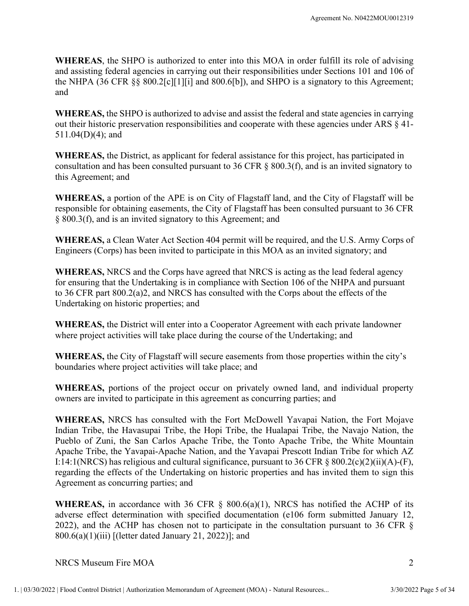WHEREAS, the SHPO is authorized to enter into this MOA in order fulfill its role of advising and assisting federal agencies in carrying out their responsibilities under Sections 101 and 106 of the NHPA (36 CFR §§ 800.2[c][1][i] and 800.6[b]), and SHPO is a signatory to this Agreement; and Agreement No. N0422M0U0012319<br> **WHEREAS,** the SHPO is authorized to enter into this MOA in order fulfill its role of advising<br>
and assisting federal agencies in earrying out their responsibilities under Sections 101 and 10 **WHEREAS**, the SHPO is authorized to enter into this MOA in order fulfill its role of advisable and assisting federal agencies in carrying out their responsibilities under Scribns 101 and 106 the NHPA (36 CFR §§ 800.2[c][

WHEREAS, the SHPO is authorized to advise and assist the federal and state agencies in carrying out their historic preservation responsibilities and cooperate with these agencies under ARS § 41- 511.04(D)(4); and

WHEREAS, the District, as applicant for federal assistance for this project, has participated in consultation and has been consulted pursuant to 36 CFR § 800.3(f), and is an invited signatory to this Agreement; and

responsible for obtaining easements, the City of Flagstaff has been consulted pursuant to 36 CFR

WHEREAS, a Clean Water Act Section 404 permit will be required, and the U.S. Army Corps of Engineers (Corps) has been invited to participate in this MOA as an invited signatory; and

WHEREAS, NRCS and the Corps have agreed that NRCS is acting as the lead federal agency for ensuring that the Undertaking is in compliance with Section 106 of the NHPA and pursuant to 36 CFR part 800.2(a)2, and NRCS has consulted with the Corps about the effects of the Undertaking on historic properties; and one. The District as applicant responsabilities with check that is project, has participated in<br>
S11.04(D)(4); and<br>
WHEREAS, the District, as applicant for federal assistance for this project, has participated in<br>
consulta

where project activities will take place during the course of the Undertaking; and

WHEREAS, the City of Flagstaff will secure easements from those properties within the city's boundaries where project activities will take place; and

WHEREAS, portions of the project occur on privately owned land, and individual property owners are invited to participate in this agreement as concurring parties; and

boundaries where project activities will take place; and<br>
WHEREAS, portions of the project occur on privately owned land, and individual property<br>
events are invited to participate in this agreement as concurring parties; Souciety, and intriducem share the Section 404 permit will be required, and the U.S. Army Copys of<br>
WHEREAS, a Clean Water Act Section 404 permit will be required, and the U.S. Army Copys of<br>
Engineers (Copys) has been inv Indian Tribe, the Havasupai Tribe, the Hopi Tribe, the Hualapai Tribe, the Navajo Nation, the Pueblo of Zuni, the San Carlos Apache Tribe, the Tonto Apache Tribe, the White Mountain Apache Tribe, the Yavapai-Apache Nation, and the Yavapai Prescott Indian Tribe for which AZ I:14:1(NRCS) has religious and cultural significance, pursuant to 36 CFR § 800.2(c)(2)(ii)(A)-(F), regarding the effects of the Undertaking on historic properties and has invited them to sign this Agreement as concurring parties; and **WHEREAS, the District will enter into a Cooperator Agreement with each private landowner<br>
where project activities will take place during the course of the Undertaking; and<br>
<b>WHEREAS**, the City of Flagstaff will secure e

adverse effect determination with specified documentation (e106 form submitted January 12, 2022), and the ACHP has chosen not to participate in the consultation pursuant to 36 CFR §  $800.6(a)(1)(iii)$  [(letter dated January 21, 2022)]; and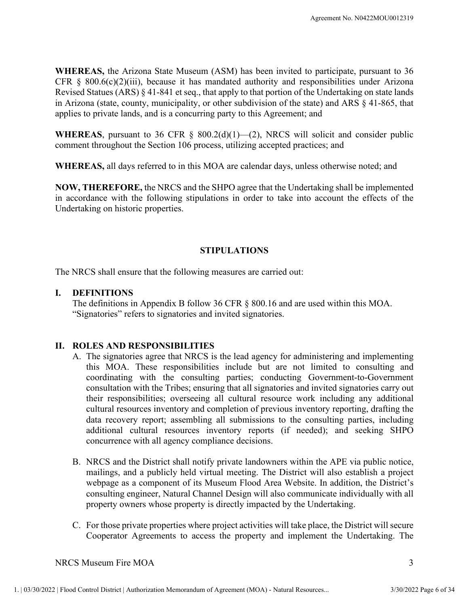WHEREAS, the Arizona State Museum (ASM) has been invited to participate, pursuant to 36 Agreement No. N0422MOU0012319<br> **WHEREAS,** the Arizona State Museum (ASM) has been invited to participate, pursuant to 36<br>
CFR § 800.6(c)(2)(iii), because it has mandated authority and responsibilities under Arizona<br>
Revise Revised Statues (ARS) § 41-841 et seq., that apply to that portion of the Undertaking on state lands in Arizona (state, county, municipality, or other subdivision of the state) and ARS § 41-865, that applies to private lands, and is a concurring party to this Agreement; and Agreement No. N0422MOU0012319<br> **WHEREAS,** the Arizona State Museum (ASM) has been invited to participate, pursuant to 36<br>
CFR § 800.6(c)(2)(iii), because it has mandated authority and responsibilities under Arizona<br>
Revis Agreement No. N0422MOU0012319<br>
WHEREAS, the Arizona State Museum (ASM) has been invited to participate, pursuant to 36<br>
CFR § 800.6(c)(2)(iii), because it has mandated authority and responsibilities under Arizona<br>
Revised

comment throughout the Section 106 process, utilizing accepted practices; and

WHEREAS, all days referred to in this MOA are calendar days, unless otherwise noted; and

in accordance with the following stipulations in order to take into account the effects of the Undertaking on historic properties. I. DEFINITIONS<br>
I. DEFINITIONS<br>
I. DEFINITIONS<br>
I. DEFINITIONS<br>
I. DEFINITIONS<br>
I. DEFINITIONS<br>
I. DEFINITIONS<br>
I. DEFINITIONS<br>
I. DEFINITIONS<br>
I. DEFINITIONS<br>
I. DEFINITIONS<br>
I. DEFINITIONS<br>
I. DEFINITIONS<br>
I. DEFINITIONS

### STIPULATIONS

The NRCS shall ensure that the following measures are carried out:

The definitions in Appendix B follow 36 CFR § 800.16 and are used within this MOA. "Signatories" refers to signatories and invited signatories.

- this MOA. These responsibilities include but are not limited to consulting and consulting include to consulting covernment-to-Government consultation with the Tribes; ensuring that all signatories and invited signatories c EXERCISE AND RESPONSIBILITIES<br>
INTEREAS, all days referred to in this MOA are calendar days, unless otherwise NOW, THEREFORE, the NRCS and the SHPO agree that the Undertaking shain accordance with the following stipulation **EREAS, all days referred to in this MOA are calendar days, unless otherwise noted; and<br>
W, THEREFORE, the NRCS and the SHPO agree that the Undertaking shall be implemented<br>
cerdance with the following stipulations in orde** this MOA. These responsibilities include but are not limited to consulting and coordinating with the consulting parties; conducting Government-to-Government consultation with the Tribes; ensuring that all signatories and invited signatories carry out their responsibilities; overseeing all cultural resource work including any additional cultural resources inventory and completion of previous inventory reporting, drafting the data recovery report; assembling all submissions to the consulting parties, including additional cultural resources inventory reports (if needed); and seeking SHPO concurrence with all agency compliance decisions. NRCS shall ensure that the following measures are carried out:<br>
DEFINITIONS<br>
The definitions in Appendix B follow 36 CFR § 800.16 and are used within this MOA.<br>
"Signatories" refers to signatories and invited signatories.<br> **ROLES AND RESPONSIBILITIES**<br>A. The signatories agree that NRCS is the lead agency for administering and implementing<br>this MOA. These responsibilities include but are not limited to consulting and<br>coordinating with the con
	- mailings, and a publicly held virtual meeting. The District will also establish a project webpage as a component of its Museum Flood Area Website. In addition, the District's consulting engineer, Natural Channel Design will also communicate individually with all property owners whose property is directly impacted by the Undertaking.
	- Cooperator Agreements to access the property and implement the Undertaking. The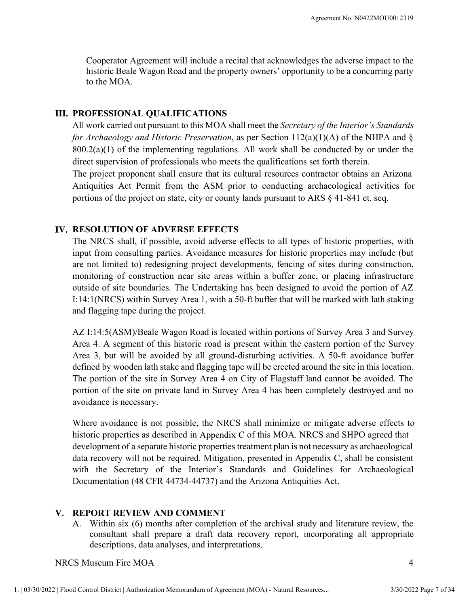Cooperator Agreement will include a recital that acknowledges the adverse impact to the historic Beale Wagon Road and the property owners' opportunity to be a concurring party to the MOA.

#### III. PROFESSIONAL QUALIFICATIONS

All work carried out pursuant to this MOA shall meet the Secretary of the Interior's Standards for Archaeology and Historic Preservation, as per Section 112(a)(1)(A) of the NHPA and  $\S$  $800.2(a)(1)$  of the implementing regulations. All work shall be conducted by or under the direct supervision of professionals who meets the qualifications set forth therein.

The project proponent shall ensure that its cultural resources contractor obtains an Arizona Antiquities Act Permit from the ASM prior to conducting archaeological activities for portions of the project on state, city or county lands pursuant to ARS § 41-841 et. seq.

#### IV. RESOLUTION OF ADVERSE EFFECTS

The NRCS shall, if possible, avoid adverse effects to all types of historic properties, with input from consulting parties. Avoidance measures for historic properties may include (but are not limited to) redesigning project developments, fencing of sites during construction, monitoring of construction near site areas within a buffer zone, or placing infrastructure outside of site boundaries. The Undertaking has been designed to avoid the portion of AZ I:14:1(NRCS) within Survey Area 1, with a 50-ft buffer that will be marked with lath staking and flagging tape during the project.

AZ I:14:5(ASM)/Beale Wagon Road is located within portions of Survey Area 3 and Survey Area 4. A segment of this historic road is present within the eastern portion of the Survey Area 3, but will be avoided by all ground-disturbing activities. A 50-ft avoidance buffer defined by wooden lath stake and flagging tape will be erected around the site in this location. The portion of the site in Survey Area 4 on City of Flagstaff land cannot be avoided. The portion of the site on private land in Survey Area 4 has been completely destroyed and no avoidance is necessary. :14:5(ASM)/Beale Wagon Road is located within portions of Survey Area 3 and Survey<br>1.4:5(ASM)/Beale Wagon Road is present within the eastern portion of the Survey<br>3.3, but will be avoided by all ground-disturbing activitie

defined by wooden lath stake and flagging tape will be rected around the site in this location.<br>The portion of the site in Survey Area 4 on City of Flagstaff land cannot be avoided. The<br>portion of the site on private land Where avoidance is not possible, the NRCS shall minimize or mitigate adverse effects to historic properties as described in Appendix C of this MOA. NRCS and SHPO agreed that development of a separate historic properties treatment plan is not necessary as archaeological data recovery will not be required. Mitigation, presented in Appendix C, shall be consistent with the Secretary of the Interior's Standards and Guidelines for Archaeological Documentation (48 CFR 44734-44737) and the Arizona Antiquities Act.

#### V. REPORT REVIEW AND COMMENT

consultant shall prepare a draft data recovery report, incorporating all appropriate descriptions, data analyses, and interpretations.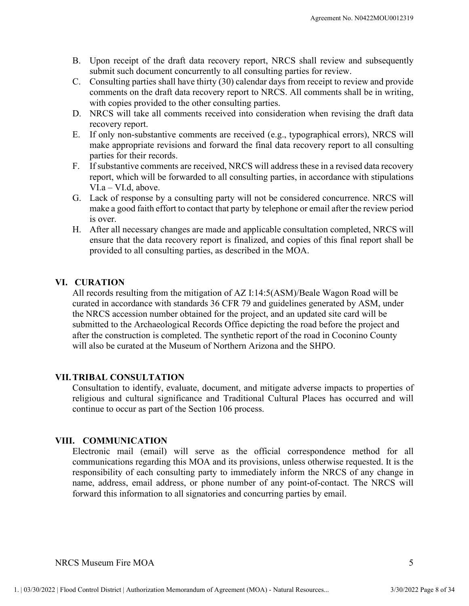- submit such document concurrently to all consulting parties for review.<br>C. Consulting parties shall have thirty (30) calendar days from receipt to review and provide
- Agreement No. N0422MOU0012319<br>
B. Upon receipt of the draft data recovery report, NRCS shall review and subsequently<br>
submit such document concurrently to all consulting parties for review.<br>
C. Consulting parties shall hav Agreement No. N0422MOU0012319<br>
B. Upon receipt of the draft data recovery report, NRCS shall review and subsequently<br>
submit such document concurrently to all consulting parties for review.<br>
C. Consulting parties shall hav Agreement No. N0422MOU0012319<br>
Upon receipt of the draft data recovery report, NRCS shall review and subsequently<br>
submit such document concurrently to all consulting parties for review.<br>
Consulting parties shall have thir with copies provided to the other consulting parties. Agreement No. N0422MOU0012319<br>
B. Upon receipt of the draft data recovery report, NRCS shall review and subsequently<br>
submit such document concurrently to all consulting parties for review.<br>
C. Consulting parties shall hav Agreement No. N0422MOU0012319<br>
B. Upon receipt of the draft data recovery report, NRCS shall review and subsequently<br>
substintive document concurrently to all consulting parties for review.<br>
C. Consulting parties shall hav Agreement No. N0422MOU0012319<br>
B. Upon receipt of the draft data recovery report, NRCS shall review and subsequently<br>
submit such document concurrently to all consulting parties for review.<br>
C. Consulting parties shall hav
- recovery report.
- make appropriate revisions and forward the final data recovery report to all consulting parties for their records.
- report, which will be forwarded to all consulting parties, in accordance with stipulations VI.a – VI.d, above.
- Agreement No. N0422MOU0012319<br>
B. Upon receipt of the draft data recovery report, NRCS shall review and subsequently<br>
submit such document concurrently to all consulting parties for review.<br>
C. Consulting parties shall hav make a good faith effort to contact that party by telephone or email after the review period is over. Herence is the draft data recovery report, NRCS shall review and subsequently submit such document concurrently to all consulting parties for review, consulting consulting parties shall have thinty (30) calcionar days fro
- ensure that the data recovery report is finalized, and copies of this final report shall be provided to all consulting parties, as described in the MOA.

Comments on the draft data recovery report to NRCS. All comments on the draft data recovery report to NRCS. All comments with copies provided to the other consulting parties.<br>
D. NRCS will take all comments received into c All records resulting from the mitigation of AZ I:14:5(ASM)/Beale Wagon Road will be curated in accordance with standards 36 CFR 79 and guidelines generated by ASM, under the NRCS accession number obtained for the project, and an updated site card will be submitted to the Archaeological Records Office depicting the road before the project and after the construction is completed. The synthetic report of the road in Coconino County will also be curated at the Museum of Northern Arizona and the SHPO. VIA – VIIA (Machina was consulting particles) three considered concurrent make a good faith effort to contact that party by telephone or email after the same six over.<br>
H. After all necessary changes are made and applicabl Intervals and all consulting particles as described in the MOA.<br>
VI. CURATION<br>
All records resulting from the mitigation of AZ I:14:5(ASM)/Beale Wage<br>
curated in accordance with standards 36 CFR 79 and guidelines generated **CURATION**<br>All records resulting from the mitigation of AZ I:14:5(ASM)/Bealc Wagon Road will be<br>clurated in accordance with standards 36 CFR 79 and guidelines generated by ASM, under<br>the NRCS accession number obtained for

Consultation to identify, evaluate, document, and mitigate adverse impacts to properties of religious and cultural significance and Traditional Cultural Places has occurred and will continue to occur as part of the Section 106 process.

**VII. TRIBAL CONSULTATION**<br>Consultation to identify, evaluate, document, and mitigate adverse impacts to properties of<br>religious and cultural significance and Traditional Cultural Places has occurred and will<br>continue to Electronic mail (email) will serve as the official correspondence method for all communications regarding this MOA and its provisions, unless otherwise requested. It is the name, address, email address, or phone number of any point-of-contact. The NRCS will forward this information to all signatories and concurring parties by email.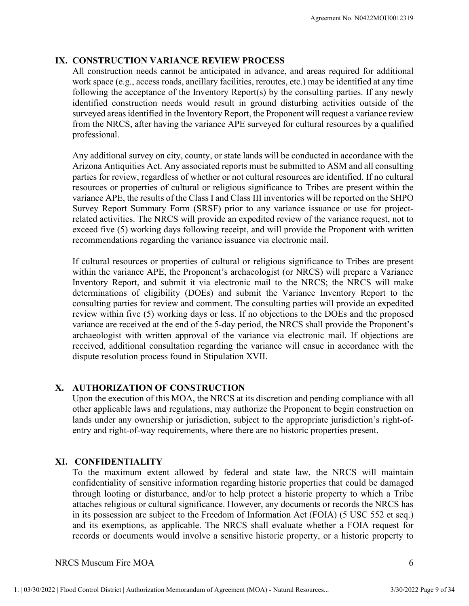Agreement No. N0422MOU0012319<br>IX. CONSTRUCTION VARIANCE REVIEW PROCESS<br>All construction needs cannot be anticipated in advance, and areas required for additional<br>work space (e.g., access roads, ancillary facilities, rerout All construction needs cannot be anticipated in advance, and areas required for additional Agreement No. N0422MOU0012319<br> **CONSTRUCTION VARIANCE REVIEW PROCESS**<br>
All construction needs cannot be anticipated in advance, and areas required for additional<br>
work space (e.g., access roads, ancillary facilities, rerou following the acceptance of the Inventory Report(s) by the consulting parties. If any newly identified construction needs would result in ground disturbing activities outside of the surveyed areas identified in the Inventory Report, the Proponent will request a variance review from the NRCS, after having the variance APE surveyed for cultural resources by a qualified professional.

Any additional survey on city, county, or state lands will be conducted in accordance with the Arizona Antiquities Act. Any associated reports must be submitted to ASM and all consulting parties for review, regardless of whether or not cultural resources are identified. If no cultural resources or properties of cultural or religious significance to Tribes are present within the variance APE, the results of the Class I and Class III inventories will be reported on the SHPO Survey Report Summary Form (SRSF) prior to any variance issuance or use for projectrelated activities. The NRCS will provide an expedited review of the variance request, not to exceed five (5) working days following receipt, and will provide the Proponent with written recommendations regarding the variance issuance via electronic mail. Four the acceptance of the Inventor Report(s) by the consulting parties. If any newly following the acceptance of the Inventory Report(s) by the consulting partics. If any newly didentified construction neceds would result

If cultural resources or properties of cultural or religious significance to Tribes are present within the variance APE, the Proponent's archaeologist (or NRCS) will prepare a Variance<br>Inventory Report, and submit it via electronic mail to the NRCS; the NRCS will make determinations of eligibility (DOEs) and submit the Variance Inventory Report to the consulting parties for review and comment. The consulting parties will provide an expedited review within five (5) working days or less. If no objections to the DOEs and the proposed variance are received at the end of the 5-day period, the NRCS shall provide the Proponent's archaeologist with written approval of the variance via electronic mail. If objections are received, additional consultation regarding the variance will ensue in accordance with the dispute resolution process found in Stipulation XVII. variance APE, the results of the Class I and Class III inventories will be reported on the SHPO<br>Survey Report Summary Form (SRSF) prior to any variance issuance or use for project-<br>related activities. The NRCS will provide Naturato. The execution of the NRCS will provide an expedited revivire one of the variable calivities. The NRCS will provide an expedited revivire of the variance contest propertical derivities. The NRCS will provide an ex In watural resolution of this MoA, the NRCS at its discrete layer than the control of eligibility (DOEs) and submit the Variance Inversions of eligibility (DOEs) and submit the Variance Inversions of eligibility (DOEs) and

other applicable laws and regulations, may authorize the Proponent to begin construction on lands under any ownership or jurisdiction, subject to the appropriate jurisdiction's right-ofentry and right-of-way requirements, where there are no historic properties present.

**X. ALITHORIZATION OF CONSTRUCTION**<br>Upon the execution of this MOA, the NRCS at its discretion and pending compliance with all<br>other applicable laws and regulations, may authorize the Proponent to begin construction on<br>la To the maximum extent allowed by federal and state law, the NRCS will maintain confidentiality of sensitive information regarding historic properties that could be damaged through looting or disturbance, and/or to help protect a historic property to which a Tribe attaches religious or cultural significance. However, any documents or records the NRCS has in its possession are subject to the Freedom of Information Act (FOIA) (5 USC 552 et seq.) and its exertive and its exemption and its exertival and the valuate whether a Folyetions are acceived, additional consultation regarding the variance will ensue in accordance with the dispute resolution process found in S records or documents would involve a sensitive historic property, or a historic property to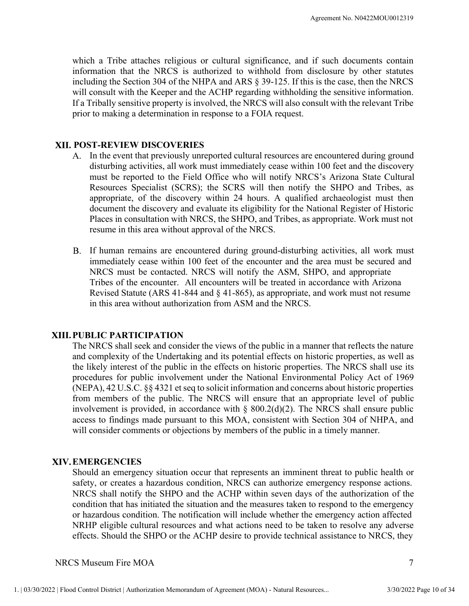which a Tribe attaches religious or cultural significance, and if such documents contain information that the NRCS is authorized to withhold from disclosure by other statutes including the Section 304 of the NHPA and ARS § 39-125. If this is the case, then the NRCS will consult with the Keeper and the ACHP regarding withholding the sensitive information. If a Tribally sensitive property is involved, the NRCS will also consult with the relevant Tribe prior to making a determination in response to a FOIA request.

#### POST-REVIEW DISCOVERIES

- A. In the event that previously unreported cultural resources are encountered during ground disturbing activities, all work must immediately cease within 100 feet and the discovery must be reported to the Field Office who will notify NRCS's Arizona State Cultural Resources Specialist (SCRS); the SCRS will then notify the SHPO and Tribes, as appropriate, of the discovery within 24 hours. A qualified archaeologist must then document the discovery and evaluate its eligibility for the National Register of Historic Places in consultation with NRCS, the SHPO, and Tribes, as appropriate. Work must not resume in this area without approval of the NRCS. manon ona set of the NECS must be contacted. The means of the presenting with the Keck state of the NRCS of the NRCS will sensitive proprint with the Keck strip end the ARCS symbol consult with the relevant Tribet to maki Example to the encounter of the encountered and the NRCS with the NRCS will also consult with the Keeper and the ACHP regarding withholding the sensitive information.<br>
Tribally sensitive property is involved, the NRCS will Ericular statute provides and services of the NECS will also consult with the relevant Tribe<br>
Tribally sensitive property is involved, the NRCS will also consult with the relevant Tribe<br>
to making a determination in respon
- If human remains are encountered during ground-disturbing activities, all work must immediately cease within 100 feet of the encounter and the area must be secured and in this area without authorization from ASM and the NRCS.

#### XIII. PUBLIC PARTICIPATION

The NRCS shall seek and consider the views of the public in a manner that reflects the nature and complexity of the Undertaking and its potential effects on historic properties, as well as the likely interest of the public in the effects on historic properties. The NRCS shall use its procedures for public involvement under the National Environmental Policy Act of 1969 (NEPA), 42 U.S.C. §§ 4321 et seq to solicit information and concerns about historic properties from members of the public. The NRCS will ensure that an appropriate level of public involvement is provided, in accordance with  $\S$  800.2(d)(2). The NRCS shall ensure public access to findings made pursuant to this MOA, consistent with Section 304 of NHPA, and will consider comments or objections by members of the public in a timely manner.

#### EMERGENCIES

the likely interest of the public in the effects on historic properties. The NRCS shall use its<br>procedures for public involvement under the National Environmental Policy Act of 1969<br>(NEPA), 42 U.S.C. §§ 4321 et seq to soli Should an emergency situation occur that represents an imminent threat to public health or safety, or creates a hazardous condition, NRCS can authorize emergency response actions. NRCS shall notify the SHPO and the ACHP within seven days of the authorization of the condition that has initiated the situation and the measures taken to respond to the emergency or hazardous condition. The notification will include whether the emergency action affected NRHP eligible cultural resources and what actions need to be taken to resolve any adverse effects. Should the SHPO or the ACHP desire to provide technical assistance to NRCS, they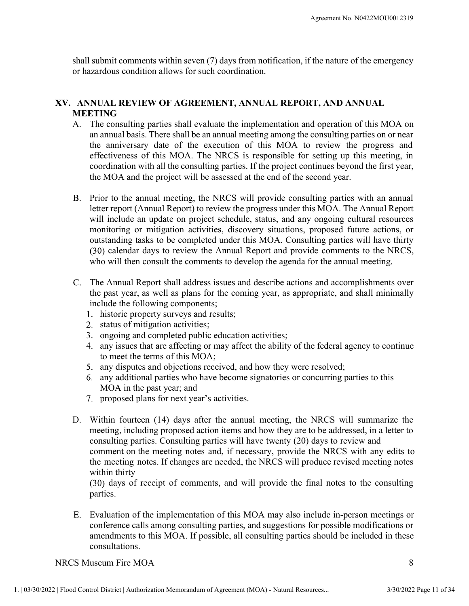shall submit comments within seven (7) days from notification, if the nature of the emergency or hazardous condition allows for such coordination.

### ANNUAL REVIEW OF AGREEMENT, ANNUAL REPORT, AND ANNUAL MEETING

- The consulting parties shall evaluate the implementation and operation of this MOA on an annual basis. There shall be an annual meeting among the consulting parties on or near the anniversary date of the execution of this MOA to review the progress and effectiveness of this MOA. The NRCS is responsible for setting up this meeting, in coordination with all the consulting parties. If the project continues beyond the first year, the MOA and the project will be assessed at the end of the second year.
- B. Prior to the annual meeting, the NRCS will provide consulting parties with an annual letter report (Annual Report) to review the progress under this MOA. The Annual Report will include an update on project schedule, status, and any ongoing cultural resources monitoring or mitigation activities, discovery situations, proposed future actions, or outstanding tasks to be completed under this MOA. Consulting parties will have thirty (30) calendar days to review the Annual Report and provide comments to the NRCS, who will then consult the comments to develop the agenda for the annual meeting. any issues that are affecting or may affect the ability of the density and y issues that are proposed in the particular and the project continues beyond the first year, MOA and the project will be assessed at the end of th
- The Annual Report shall address issues and describe actions and accomplishments over the past year, as well as plans for the coming year, as appropriate, and shall minimally include the following components;
	- 1. historic property surveys and results;
	- 2. status of mitigation activities;
	-
	- 3. ongoing and completed public education activities;<br>4. any issues that are affecting or may affect the ability of the federal agency to continue to meet the terms of this MOA;
	- 5. any disputes and objections received, and how they were resolved;
	- any additional parties who have become signatories or concurring parties to this MOA in the past year; and
	- 7. proposed plans for next year's activities.
- 5. any disputes and objections received, and how they were resolved;<br>6. any additional parties who have become signatories or concurring parties to this<br>MOA in the past year; and<br>7. proposed plans for next year's activiti D. Within fourteen (14) days after the annual meeting, the NRCS will summarize the meeting, including proposed action items and how they are to be addressed, in a letter to consulting parties. Consulting parties will have twenty (20) days to review and (so) contrain any sour the meeting notes and develop the agenda for the annual meeting.<br>The Annual Report shall address issues and describe actions and accomplishments over<br>the past year, as well as plans for the coming ye The Amaro Boom and Boott shall address issues and describe actions and accomplishments over<br>the past year, as well as plans for the coming year, as appropriate, and shall minimally<br>include the following components;<br>thistor within thirty

 $(30)$  days of receipt of comments, and will provide the final notes to the consulting parties.

E. Evaluation of the implementation of this MOA may also include in-person meetings or conference calls among consulting parties, and suggestions for possible modifications or amendments to this MOA. If possible, all consulting parties should be included in these consultations.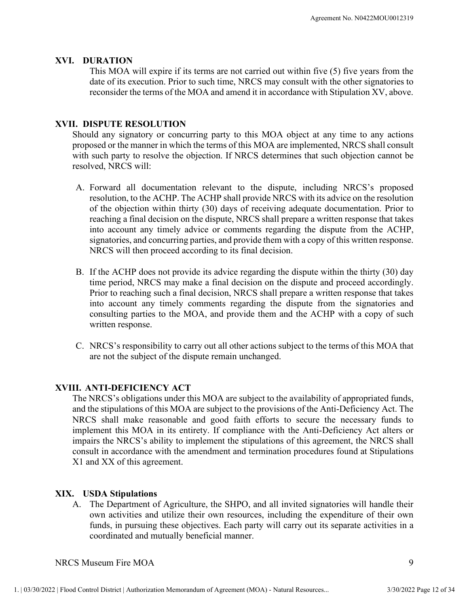Agreement SACTION<br>
This MOA will expire if its terms are not carried out within five (<br>
date of its execution. Prior to such time, NRCS may consult with the<br>
reconsider the terms of the MOA and amend it in accordance with This MOA will expire if its terms are not carried out within five (5) five years from the date of its execution. Prior to such time, NRCS may consult with the other signatories to reconsider the terms of the MOA and amend it in accordance with Stipulation XV, above.

Agreement No. Nu<br> **XVI.** DURATION<br>
This MOA will expire if its terms are not carried out within five (5) five<br>
date of its execution. Prior to such time, NRCS may consult with the other<br>
reconsider the terms of the MOA and Should any signatory or concurring party to this MOA object at any time to any actions proposed or the manner in which the terms of this MOA are implemented, NRCS shall consult Agreement No. N0422MOU0012319<br> **PRODUCE 10**<br> **PRODUCE 10**<br> **PRODUCE 10**<br> **PRODUCE 10**<br> **PRODUCE 10**<br> **PRODUCE 10**<br> **PRODUCE ARESOLUTION**<br> **PRODUCE RESOLUTION**<br> **PRODUCE RESOLUTION**<br> **PRODUCE RESOLUTION**<br> **PRODUCE RESOLUTIO** Agreemen No. N0422MOU0012319<br> **WIRATION**<br>
This MOA will expire if its terms are not carried out within five (5) five years from the<br>
date of its execution. Prior to such time, NRCS may consult with the other signatories to Agreement No. N0422MO<br> **Resolution 1986**<br> **Resolution**<br> **Resolution**<br> **Resolution**<br> **Resolution**<br> **Resolution**<br> **Resolution**<br> **Resolution**<br> **Resolution**<br> **Resolution**<br> **Resolution**<br> **Resolution**<br> **Resolution**<br> **Resolution** 

- Agreement No. N0422MOU0012319<br> **Agreement No. N0422MOU0012319**<br> **This MOA will expire if its terms are not carried out within five (5) five years from the<br>
date of its execution. Prior to such time, NRCS may consult with t** Agreement No. N0422MOU0012319<br>
This MOA will expire if its terms are not carried out within five (5) five years from the<br>
date of its execution. Prior to such time, NRCS may consult with the other signatories to<br>
reconside of the objection within thirty (30) days of receiving adequate documentation. Prior to reaching a final decision on the dispute, NRCS shall prepare a written response that takes into account any timely advice or comments regarding the dispute from the ACHP, signatories, and concurring parties, and provide them with a copy of this written response. NRCS will then proceed according to its final decision. The ACHP does not provide its advice regarding the dispute with Section and the ACHP does not provide the terms of the MOA and amend it in accordance with Stipulation XV, above.<br> **DISPUTE RESOLUTION**<br> **B. DISPUTE RESOLUT** ENDITE THE SES TO THE MORAL THATED THAT AND THAT THE CONDITION THAT AND AND AND AND AND AND A DEPAPT THAT AND A THAT AND AND A THAT AND A THAT AND A THAT AND A THAT AND A THAT AND A THAT AND A THAT SO SO SO THE MAN THAT S **ISPUTE RESOLUTION**<br>
ISPUTE RESOLUTION<br>
Id any signatory or concurring party to this MOA arcimplemented, NRCS shall consult<br>
such party to resolve the objection. If NRCS determines that such objection cannot be<br>
ved, NRCS C. NRCS is the main that in the computed to the dispute to the carry of the objection. If NRCS' determines that such objection cannot be esolved, NRCS' will:<br>A. Forward all documentation relevant to the dispute. including resolution, to the ACHP. The ACHP shall provide NRCS with its advice<br>resolution, to the ACHP. The ACHP shall provide NRCS with its advice<br>of the objection within thirty (30) days of receiving adequate document<br>into account
	- into account any timely comments regarding the dispute from the signatories and consulting parties to the MOA, and provide them and the ACHP with a copy of such written response.
	- are not the subject of the dispute remain unchanged.

XVIII. ANTI-DEFICIENCY ACT<br>
The NRCS's obligations under this MOA are subject to the availability of appropriated funds,<br>
and the stipulations of this MOA are subject to the provisions of the Anti-Deficiency Act. The<br>
NRC The NRCS's obligations under this MOA are subject to the availability of appropriated funds, and the stipulations of this MOA are subject to the provisions of the Anti-Deficiency Act. The NECT Software and consulting principle and good faith efforts. And consult in a cocount any timely advice or comments regarding the dispute from the ACHP, signatorics, and concurring partics, and provide them with a copy o implement this MOA in its entirety. If compliance with the Anti-Deficiency Act alters or impairs the NRCS's ability to implement the stipulations of this agreement, the NRCS shall is the NRCS will then proceed according to its final decision.<br>
B. If the ACHP does not provide its advice regarding the dispute within the thirty (30) day<br>
time period, NRCS may make a final decision on the dispute and p consult in accordance with the amendment and termination procedures found at Stipulations X1 and XX of this agreement. All the cocount any timely comments regarding the dispute from<br>the account any timely comments regarding the dispute from<br>consulting parties to the MOA, and provide them and the ACHF<br>written response.<br>C. NRCS's responsibil A. The Department of Agriculture, the SHPO, and all invited signatories will handle their comparation and the ACHP with a copy of such written response.<br>
C. NRCS's responsibility to carry out all other actions subject to t

own activities and utilize their own resources, including the expenditure of their own funds, in pursuing these objectives. Each party will carry out its separate activities in a coordinated and mutually beneficial manner.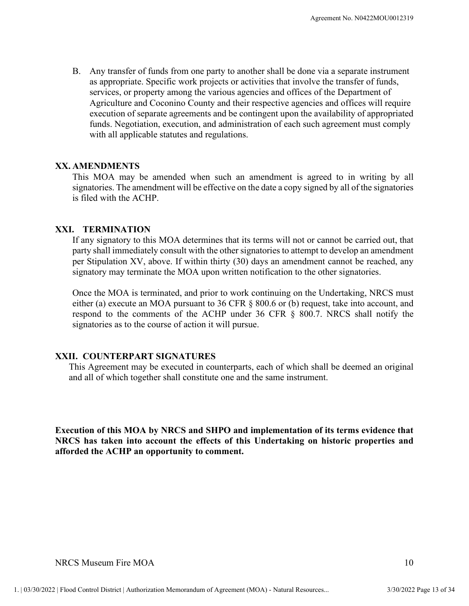Agreement No. N0422MOU0012319<br>B. Any transfer of funds from one party to another shall be done via a separate instrument<br>as appropriate. Specific work projects or activities that involve the transfer of funds,<br>services, or as appropriate. Specific work projects or activities that involve the transfer of funds, services, or property among the various agencies and offices of the Department of Agriculture and Coconino County and their respective agencies and offices will require execution of separate agreements and be contingent upon the availability of appropriated funds. Negotiation, execution, and administration of each such agreement must comply with all applicable statutes and regulations. Agreement Assume that the ACHP.<br>
Any transfer of funds from one party to another shall be done v<br>
as appropriate. Specific work projects or activities that involve<br>
services, or property among the various agencies and offi B. Any transfer of funds from one party to another shall be done via<br>as appropriate. Specific work projects or activities that involve the<br>services, or property among the various agencies and offices of the<br>Agriculture and

This MOA may be amended when such an amendment is agreed to in writing by all signatories. The amendment will be effective on the date a copy signed by all of the signatories is filed with the ACHP.

If any signatory to this MOA determines that its terms will not or cannot be carried out, that party shall immediately consult with the other signatories to attempt to develop an amendment per Stipulation XV, above. If within thirty (30) days an amendment cannot be reached, any signatory may terminate the MOA upon written notification to the other signatories.

Once the MOA is terminated, and prior to work continuing on the Undertaking, NRCS must either (a) execute an MOA pursuant to 36 CFR § 800.6 or (b) request, take into account, and respond to the comments of the ACHP under 36 CFR § 800.7. NRCS shall notify the signatories as to the course of action it will pursue. **XX. AMENDMENTS**<br>This MOA may be amended when such an amendment is agreed to i<br>signatorics. The amendment will be effective on the date a copy signed by all<br>is filed with the ACHP.<br>**XXI.** TERMINATION<br>If any signatory to t

This Agreement may be executed in counterparts, each of which shall be deemed an original and all of which together shall constitute one and the same instrument.

This Agreement may be executed in counterparts, each of which shall be deemed an original<br>and all of which together shall constitute one and the same instrument.<br>
Execution of this MOA by NRCS and SHPO and implementation o Execution of this MOA by NRCS and SHPO and implementation of its terms evidence that NRCS has taken into account the effects of this Undertaking on historic properties and afforded the ACHP an opportunity to comment.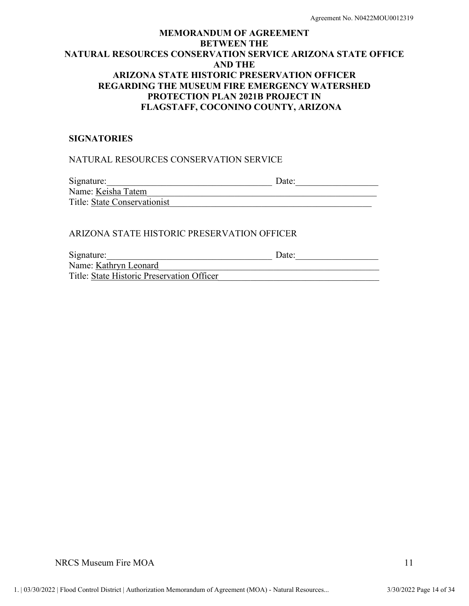#### SIGNATORIES

#### NATURAL RESOURCES CONSERVATION SERVICE

Signature:\_\_\_\_\_\_\_\_\_\_\_\_\_\_\_\_\_\_\_\_\_\_\_\_\_\_\_\_\_\_\_\_\_\_\_\_ Date:\_\_\_\_\_\_\_\_\_\_\_\_\_\_\_\_\_\_

Name: Keisha Tatem Title: State Conservationist\_\_\_\_\_\_\_\_\_\_\_\_\_\_\_\_\_\_\_\_\_\_\_\_\_\_\_\_\_\_\_\_\_\_\_\_\_\_\_\_\_\_\_\_

#### ARIZONA STATE HISTORIC PRESERVATION OFFICER

Signature:\_\_\_\_\_\_\_\_\_\_\_\_\_\_\_\_\_\_\_\_\_\_\_\_\_\_\_\_\_\_\_\_\_\_\_\_ Date:\_\_\_\_\_\_\_\_\_\_\_\_\_\_\_\_\_\_

Name: <u>Kathryn Leonard</u> Title: State Historic Preservation Officer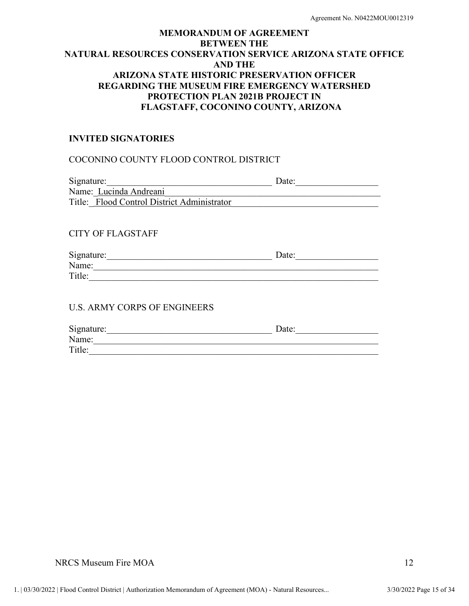# MEMORANDUM OF AGREEMENT BETWEEN THE NATURAL RESOURCES CONSERVATION SERVICE ARIZONA STATE OFFICE AND THE ARIZONA STATE HISTORIC PRESERVATION OFFICER REGARDING THE MUSEUM FIRE EMERGENCY WATERSHED PROTECTION PLAN 2021B PROJECT IN FLAGSTAFF, COCONINO COUNTY, ARIZONA Agreement No. N0422M0U0012319<br>
MEMORANDUM OF AGREEMENT<br>
BETWEEN THE<br>
BETWEEN THE<br>
AND THE<br>
ARIZONA STATE HISTORIC PRESERVATION OFFICER<br>
REGARDING THE MUSEUM FIRE EMERGERNCY WATERSHED<br>
PROTECTION PLAN 2021B PROJECT IN<br>
FLAG MEMORANDUM OF AGREEMENT<br>
BETWEEN THE<br>
ATURAL RESOURCES CONSERVATION SERVICE ARIZONA STATE OFFICE<br>
ARIZONA STATE HISTORIC PRESERVATION OFFICER<br>
REGARDING THE MUSEUM FIRE EMERGENCY WATERSHED<br>
FROTECTION PLAN 2021B PRODECT IN

#### INVITED SIGNATORIES

| Signature:                                  | Date: |  |
|---------------------------------------------|-------|--|
| Name: Lucinda Andreani                      |       |  |
| Title: Flood Control District Administrator |       |  |
|                                             |       |  |
|                                             |       |  |
| <b>CITY OF FLAGSTAFF</b>                    |       |  |
|                                             |       |  |
| Signature:                                  | Date: |  |
| Name:                                       |       |  |
| Title:                                      |       |  |
|                                             |       |  |
|                                             |       |  |
| <b>U.S. ARMY CORPS OF ENGINEERS</b>         |       |  |
|                                             |       |  |
| Signature:                                  | Date: |  |

Title:\_\_\_\_\_\_\_\_\_\_\_\_\_\_\_\_\_\_\_\_\_\_\_\_\_\_\_\_\_\_\_\_\_\_\_\_\_\_\_\_\_\_\_\_\_\_\_\_\_\_\_\_\_\_\_\_\_\_\_\_\_\_\_

Name: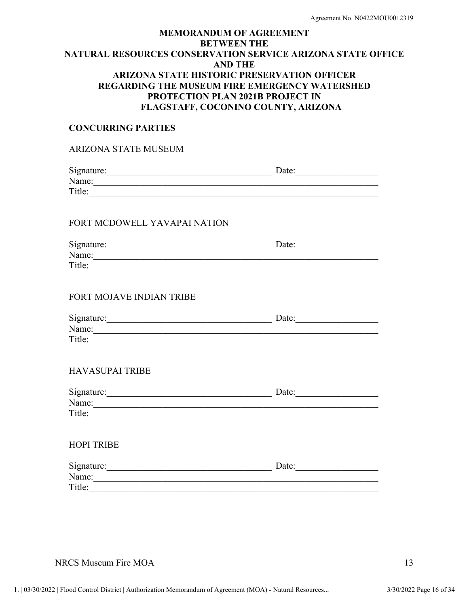#### CONCURRING PARTIES

#### ARIZONA STATE MUSEUM

| Signature: | Date: |  |
|------------|-------|--|
| Name:      |       |  |
| Title:     |       |  |

#### FORT MCDOWELL YAVAPAI NATION

| Signature: | Date: |
|------------|-------|
| Name:      |       |
| Title:     |       |

#### FORT MOJAVE INDIAN TRIBE

| Signature: | Date: |  |
|------------|-------|--|
| Name:      |       |  |
| Title:     |       |  |

#### HAVASUPAI TRIBE

| Signature: | Date: |
|------------|-------|
| Name:      |       |
| Title:     |       |

#### HOPI TRIBE

| Signature: | )ate |  |
|------------|------|--|
| Name:      |      |  |
| Title:     |      |  |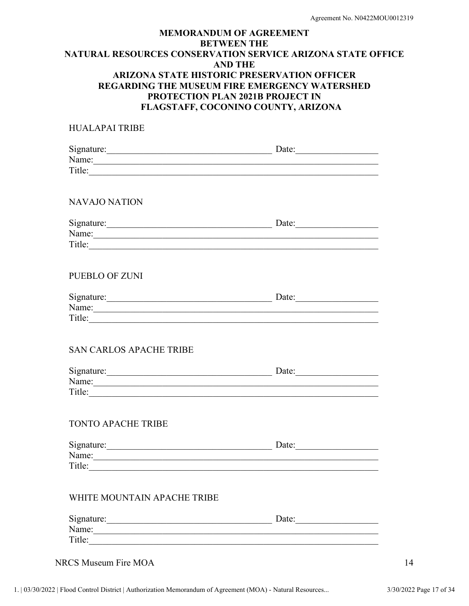| HUALAPAI TRIBE                 |       |  |
|--------------------------------|-------|--|
| Signature: Date: Date:         |       |  |
|                                |       |  |
| Title:                         |       |  |
| <b>NAVAJO NATION</b>           |       |  |
| Signature: Date: Date:         |       |  |
| Name: Name:                    |       |  |
| Title:                         |       |  |
| PUEBLO OF ZUNI                 |       |  |
| Signature: Date: Date:         |       |  |
|                                |       |  |
| Title:                         |       |  |
| <b>SAN CARLOS APACHE TRIBE</b> |       |  |
| Signature: Date: Date:         |       |  |
| Name:                          |       |  |
| Title:                         |       |  |
| <b>TONTO APACHE TRIBE</b>      |       |  |
|                                | Date: |  |
| Name:                          |       |  |
| Title:                         |       |  |
| WHITE MOUNTAIN APACHE TRIBE    |       |  |
|                                | Date: |  |
|                                |       |  |
| Title:                         |       |  |
|                                |       |  |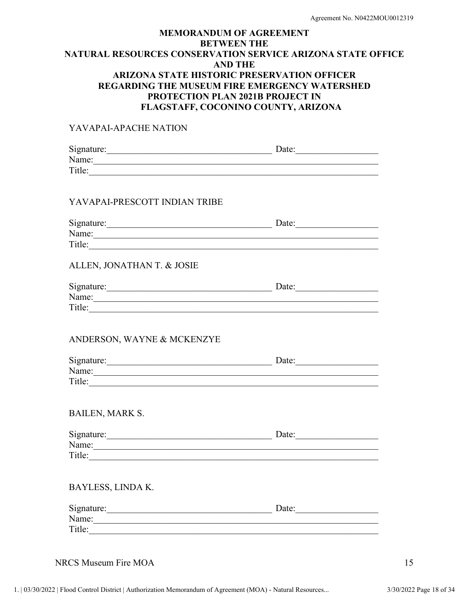#### YAVAPAI-APACHE NATION

| Signature: Date: Date:<br>Title:                                                                                                                                                                                                        |       |  |
|-----------------------------------------------------------------------------------------------------------------------------------------------------------------------------------------------------------------------------------------|-------|--|
| YAVAPAI-PRESCOTT INDIAN TRIBE                                                                                                                                                                                                           |       |  |
| Signature: Date: Date:<br>Name: Name:<br>Title:                                                                                                                                                                                         |       |  |
| ALLEN, JONATHAN T. & JOSIE                                                                                                                                                                                                              |       |  |
| Name: Name: Name: Name: Name: Name: Name: Name: Name: Name: Name: Name: Name: Name: Name: Name: Name: Name: Name: Name: Name: Name: Name: Name: Name: Name: Name: Name: Name: Name: Name: Name: Name: Name: Name: Name: Name:<br>Title: | Date: |  |
| ANDERSON, WAYNE & MCKENZYE                                                                                                                                                                                                              |       |  |
| Signature: Date: Date:<br>Title:                                                                                                                                                                                                        |       |  |
| <b>BAILEN, MARK S.</b>                                                                                                                                                                                                                  |       |  |
|                                                                                                                                                                                                                                         | Date: |  |

Name: Title:

| Signature: | Date: |
|------------|-------|
| Name:      |       |
| Title:     |       |

NRCS Museum Fire MOA 15

BAYLESS, LINDA K.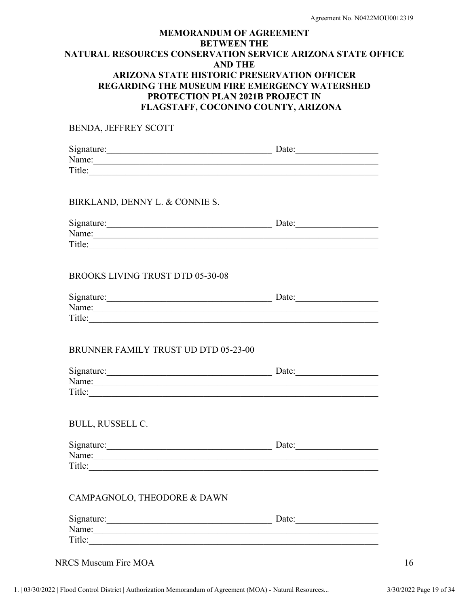BENDA, JEFFREY SCOTT

| Signature: | Date: |  |
|------------|-------|--|
| Name:      |       |  |
| Title:     |       |  |

#### BIRKLAND, DENNY L. & CONNIE S.

| Signature: | Date: |
|------------|-------|
| Name:      |       |
| Title:     |       |

#### BROOKS LIVING TRUST DTD 05-30-08

| Signature: | Date: |
|------------|-------|
| Name:      |       |
| Title:     |       |

#### BRUNNER FAMILY TRUST UD DTD 05-23-00

| Signature: | Date: |  |
|------------|-------|--|
| Name:      |       |  |
| Title:     |       |  |

#### BULL, RUSSELL C.

| Signature: | Date: |
|------------|-------|
| Name:      |       |
| Title:     |       |

#### CAMPAGNOLO, THEODORE & DAWN

| Signature: | Date: |
|------------|-------|
| Name:      |       |
| Title:     |       |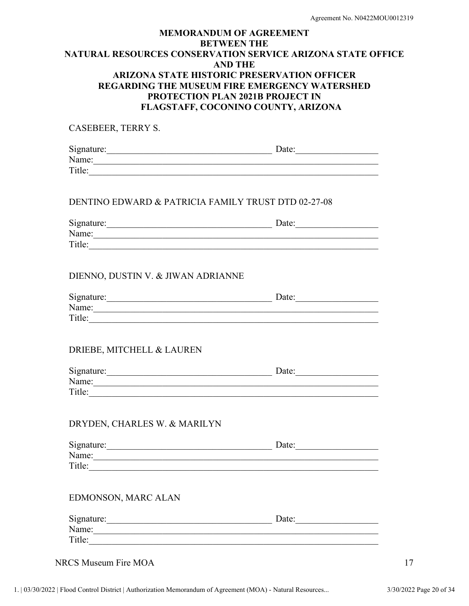CASEBEER, TERRY S. Signature:\_\_\_\_\_\_\_\_\_\_\_\_\_\_\_\_\_\_\_\_\_\_\_\_\_\_\_\_\_\_\_\_\_\_\_\_ Date:\_\_\_\_\_\_\_\_\_\_\_\_\_\_\_\_\_\_ Name:\_\_\_\_\_\_\_\_\_\_\_\_\_\_\_\_\_\_\_\_\_\_\_\_\_\_\_\_\_\_\_\_\_\_\_\_\_\_\_\_\_\_\_\_\_\_\_\_\_\_\_\_\_\_\_\_\_\_\_\_\_\_ Title:\_\_\_\_\_\_\_\_\_\_\_\_\_\_\_\_\_\_\_\_\_\_\_\_\_\_\_\_\_\_\_\_\_\_\_\_\_\_\_\_\_\_\_\_\_\_\_\_\_\_\_\_\_\_\_\_\_\_\_\_\_\_\_

#### DENTINO EDWARD & PATRICIA FAMILY TRUST DTD 02-27-08

| Signature: | Date: |  |
|------------|-------|--|
| Name:      |       |  |
| Title:     |       |  |
|            |       |  |

#### DIENNO, DUSTIN V. & JIWAN ADRIANNE

| Signature: | Date: |  |
|------------|-------|--|
| Name:      |       |  |
| Title:     |       |  |

### DRIEBE, MITCHELL & LAUREN

| Signature: | Date: |  |
|------------|-------|--|
| Name:      |       |  |
| Title:     |       |  |

#### DRYDEN, CHARLES W. & MARILYN

| Signature: | Date: |  |
|------------|-------|--|
| Name:      |       |  |
| Title:     |       |  |

#### EDMONSON, MARC ALAN

| Signature: | Date: |  |
|------------|-------|--|
| Name:      |       |  |
| Title:     |       |  |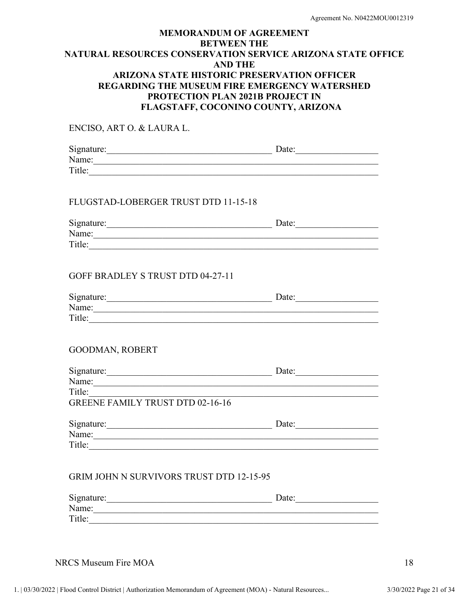| ENCISO, ART O. & LAURA L.                                                                                                                                                                                                      |                                                                                                                       |  |
|--------------------------------------------------------------------------------------------------------------------------------------------------------------------------------------------------------------------------------|-----------------------------------------------------------------------------------------------------------------------|--|
| Signature: Date: Date:                                                                                                                                                                                                         |                                                                                                                       |  |
| Name:                                                                                                                                                                                                                          |                                                                                                                       |  |
| Title:                                                                                                                                                                                                                         |                                                                                                                       |  |
| FLUGSTAD-LOBERGER TRUST DTD 11-15-18                                                                                                                                                                                           |                                                                                                                       |  |
| Signature: Date: Date:                                                                                                                                                                                                         |                                                                                                                       |  |
| Name: Name:                                                                                                                                                                                                                    |                                                                                                                       |  |
|                                                                                                                                                                                                                                |                                                                                                                       |  |
| GOFF BRADLEY S TRUST DTD 04-27-11                                                                                                                                                                                              |                                                                                                                       |  |
| Signature: Date: Date:                                                                                                                                                                                                         |                                                                                                                       |  |
| Name: Name:                                                                                                                                                                                                                    |                                                                                                                       |  |
|                                                                                                                                                                                                                                |                                                                                                                       |  |
| <b>GOODMAN, ROBERT</b>                                                                                                                                                                                                         |                                                                                                                       |  |
| Signature: Date: Date:                                                                                                                                                                                                         |                                                                                                                       |  |
| Name: Name: Name: Name: Name: Name: Name: Name: Name: Name: Name: Name: Name: Name: Name: Name: Name: Name: Name: Name: Name: Name: Name: Name: Name: Name: Name: Name: Name: Name: Name: Name: Name: Name: Name: Name: Name:  |                                                                                                                       |  |
| Title:                                                                                                                                                                                                                         | <u> 1989 - Johann John Stoff, deutscher Stoffen und der Stoffen und der Stoffen und der Stoffen und der Stoffen u</u> |  |
| <b>GREENE FAMILY TRUST DTD 02-16-16</b>                                                                                                                                                                                        |                                                                                                                       |  |
| Signature: Date: Date:                                                                                                                                                                                                         |                                                                                                                       |  |
| Name: Name: Name: Name: Name: Name: Name: Name: Name: Name: Name: Name: Name: Name: Name: Name: Name: Name: Name: Name: Name: Name: Name: Name: Name: Name: Name: Name: Name: Name: Name: Name: Name: Name: Name: Name: Name:  |                                                                                                                       |  |
| Title:                                                                                                                                                                                                                         |                                                                                                                       |  |
| GRIM JOHN N SURVIVORS TRUST DTD 12-15-95                                                                                                                                                                                       |                                                                                                                       |  |
| Signature: 1000 million and 1000 million and 1000 million and 1000 million and 1000 million and 1000 million and 1000 million and 1000 million and 1000 million and 1000 million and 1000 million and 1000 million and 1000 mi | Date:                                                                                                                 |  |
| Name: Name: Name: Name: Name: Name: Name: Name: Name: Name: Name: Name: Name: Name: Name: Name: Name: Name: Name: Name: Name: Name: Name: Name: Name: Name: Name: Name: Name: Name: Name: Name: Name: Name: Name: Name: Name:  |                                                                                                                       |  |
| Title:                                                                                                                                                                                                                         |                                                                                                                       |  |
|                                                                                                                                                                                                                                |                                                                                                                       |  |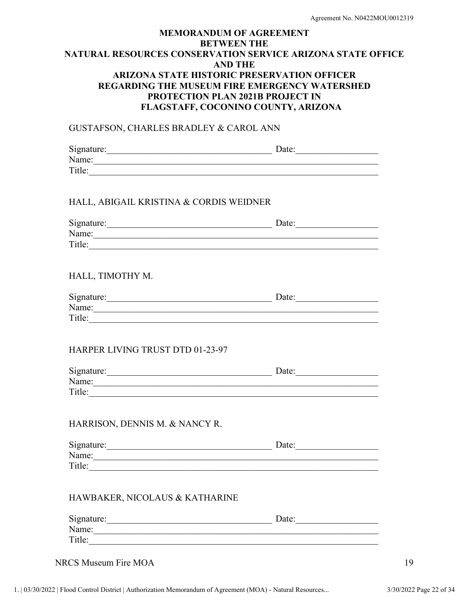#### GUSTAFSON, CHARLES BRADLEY & CAROL ANN

| Signature: | Date: |  |
|------------|-------|--|
| Name:      |       |  |
| Title:     |       |  |

#### HALL, ABIGAIL KRISTINA & CORDIS WEIDNER

| Signature: | Date: |  |
|------------|-------|--|
| Name:      |       |  |
| Title:     |       |  |
|            |       |  |

#### HALL, TIMOTHY M.

| Signature: | Date: |
|------------|-------|
| Name:      |       |
| Title:     |       |

#### HARPER LIVING TRUST DTD 01-23-97

| Signature: | Date: |  |
|------------|-------|--|
| Name:      |       |  |
| Title:     |       |  |

#### HARRISON, DENNIS M. & NANCY R.

| Signature: | Date: |
|------------|-------|
| Name:      |       |
| Title:     |       |

#### HAWBAKER, NICOLAUS & KATHARINE

| Signature: | Date: |  |
|------------|-------|--|
| Name:      |       |  |
| Title:     |       |  |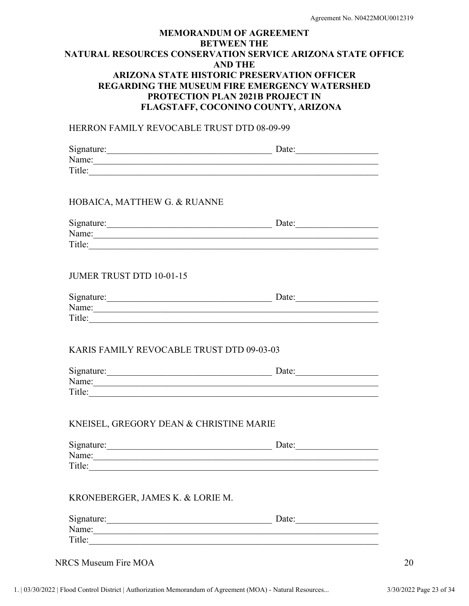#### HERRON FAMILY REVOCABLE TRUST DTD 08-09-99

|                                           | Date: |  |
|-------------------------------------------|-------|--|
| Name:                                     |       |  |
| Title:                                    |       |  |
|                                           |       |  |
| HOBAICA, MATTHEW G. & RUANNE              |       |  |
|                                           |       |  |
| Signature: Date: Date:                    |       |  |
| Name: Name:                               |       |  |
| Title:                                    |       |  |
|                                           |       |  |
| <b>JUMER TRUST DTD 10-01-15</b>           |       |  |
|                                           |       |  |
| Signature: Date: Date:                    |       |  |
|                                           |       |  |
|                                           |       |  |
|                                           |       |  |
| KARIS FAMILY REVOCABLE TRUST DTD 09-03-03 |       |  |
|                                           |       |  |
| Signature: Date: Date:                    |       |  |
| Name:                                     |       |  |
|                                           |       |  |
|                                           |       |  |
|                                           |       |  |
| KNEISEL, GREGORY DEAN & CHRISTINE MARIE   |       |  |
| Signature: Date: Date:                    |       |  |
| Name:                                     |       |  |
| Title:                                    |       |  |
|                                           |       |  |

#### KRONEBERGER, JAMES K. & LORIE M.

| Signature: | Ante<br>Daw. |  |
|------------|--------------|--|
| Name:      |              |  |
| Title:     |              |  |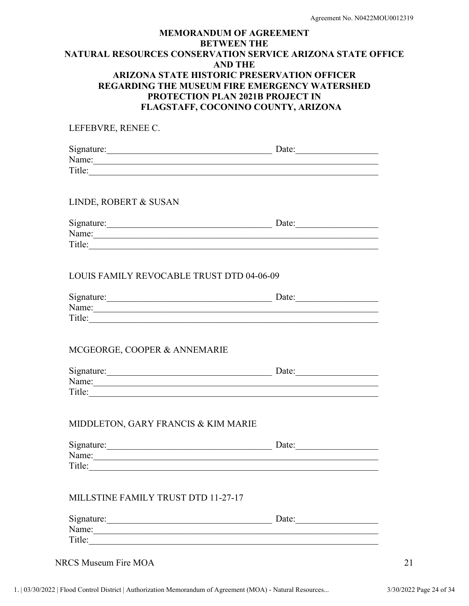| LEFEBVRE, RENEE C.                               |  |
|--------------------------------------------------|--|
| Signature: Date: Date:<br>Name: Name:            |  |
| LINDE, ROBERT & SUSAN                            |  |
| Name: Name:                                      |  |
| <b>LOUIS FAMILY REVOCABLE TRUST DTD 04-06-09</b> |  |
| Signature: Date: Date:                           |  |
| MCGEORGE, COOPER & ANNEMARIE                     |  |
| Signature: Date: Date:<br>Name: Name:            |  |
| MIDDLETON, GARY FRANCIS & KIM MARIE              |  |
| Signature: Date: Date:<br>Name: Name:<br>Title:  |  |
| MILLSTINE FAMILY TRUST DTD 11-27-17              |  |
| Signature: Date: Date:<br>Title:                 |  |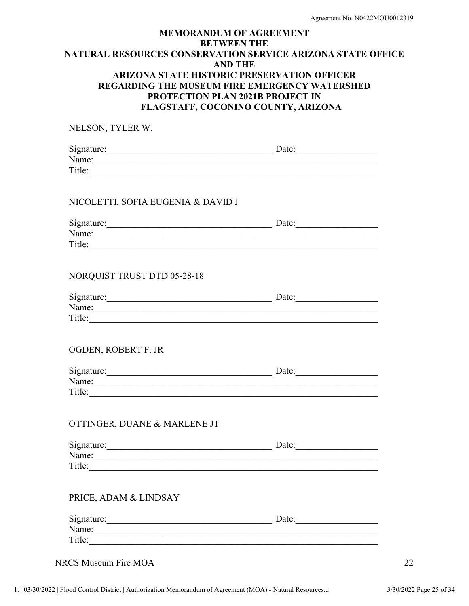| NELSON, TYLER W.                                                                                                                                                                                                                        |  |
|-----------------------------------------------------------------------------------------------------------------------------------------------------------------------------------------------------------------------------------------|--|
| Signature: Date: Date:<br>Name: Name:                                                                                                                                                                                                   |  |
| Title:                                                                                                                                                                                                                                  |  |
| NICOLETTI, SOFIA EUGENIA & DAVID J                                                                                                                                                                                                      |  |
| Signature: Date: Date:                                                                                                                                                                                                                  |  |
| Name: Name:                                                                                                                                                                                                                             |  |
| NORQUIST TRUST DTD 05-28-18                                                                                                                                                                                                             |  |
| Signature: Date: Date:                                                                                                                                                                                                                  |  |
| Name: Name:                                                                                                                                                                                                                             |  |
| OGDEN, ROBERT F. JR                                                                                                                                                                                                                     |  |
| Signature: Date: Date:                                                                                                                                                                                                                  |  |
| Name: Name:                                                                                                                                                                                                                             |  |
| OTTINGER, DUANE & MARLENE JT                                                                                                                                                                                                            |  |
| Signature: Date: Date:                                                                                                                                                                                                                  |  |
| Name:<br>Title: The contract of the contract of the contract of the contract of the contract of the contract of the contract of the contract of the contract of the contract of the contract of the contract of the contract of the con |  |
| PRICE, ADAM & LINDSAY                                                                                                                                                                                                                   |  |
| Signature: Date: Date:                                                                                                                                                                                                                  |  |
| Name:<br>Title:                                                                                                                                                                                                                         |  |
|                                                                                                                                                                                                                                         |  |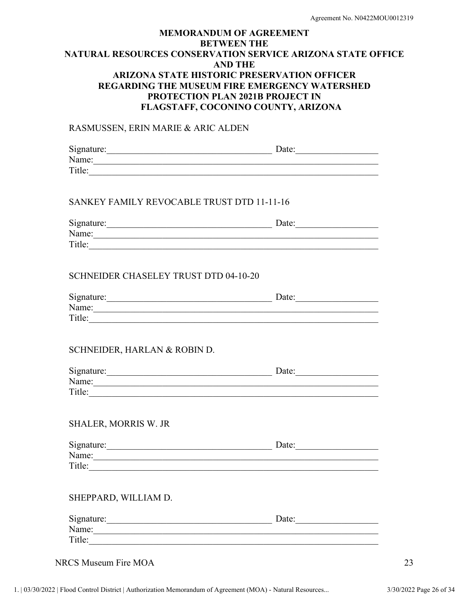#### RASMUSSEN, ERIN MARIE & ARIC ALDEN

| Date:                                                                                                                                                                                                                         |
|-------------------------------------------------------------------------------------------------------------------------------------------------------------------------------------------------------------------------------|
| Name: Name:                                                                                                                                                                                                                   |
| Title:                                                                                                                                                                                                                        |
| SANKEY FAMILY REVOCABLE TRUST DTD 11-11-16                                                                                                                                                                                    |
| Date:                                                                                                                                                                                                                         |
| Name: Name:                                                                                                                                                                                                                   |
| Title:                                                                                                                                                                                                                        |
|                                                                                                                                                                                                                               |
| Date:                                                                                                                                                                                                                         |
| Name: Name: Name: Name: Name: Name: Name: Name: Name: Name: Name: Name: Name: Name: Name: Name: Name: Name: Name: Name: Name: Name: Name: Name: Name: Name: Name: Name: Name: Name: Name: Name: Name: Name: Name: Name: Name: |
| Title:                                                                                                                                                                                                                        |
|                                                                                                                                                                                                                               |
|                                                                                                                                                                                                                               |

| Signature: | Date: |  |
|------------|-------|--|
| Name:      |       |  |
| Title:     |       |  |
|            |       |  |

### SHALER, MORRIS W. JR

| Signature: | Date: |
|------------|-------|
| Name:      |       |
| Title:     |       |

### SHEPPARD, WILLIAM D.

| Signature: | Date: |  |
|------------|-------|--|
| Name:      |       |  |
| Title:     |       |  |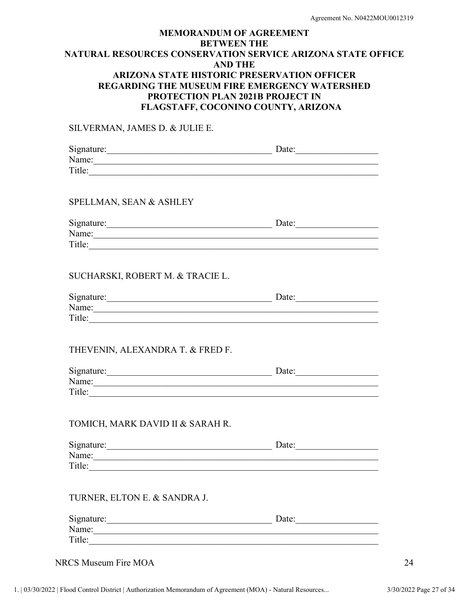#### SILVERMAN, JAMES D. & JULIE E.

| Signature: Date: Date:                                                                                                                                                                                                        |       |  |
|-------------------------------------------------------------------------------------------------------------------------------------------------------------------------------------------------------------------------------|-------|--|
| Name:                                                                                                                                                                                                                         |       |  |
| Title:                                                                                                                                                                                                                        |       |  |
|                                                                                                                                                                                                                               |       |  |
|                                                                                                                                                                                                                               |       |  |
| SPELLMAN, SEAN & ASHLEY                                                                                                                                                                                                       |       |  |
|                                                                                                                                                                                                                               |       |  |
| Signature: Date: Date:                                                                                                                                                                                                        |       |  |
| Name:                                                                                                                                                                                                                         |       |  |
| Title:                                                                                                                                                                                                                        |       |  |
|                                                                                                                                                                                                                               |       |  |
|                                                                                                                                                                                                                               |       |  |
| SUCHARSKI, ROBERT M. & TRACIE L.                                                                                                                                                                                              |       |  |
|                                                                                                                                                                                                                               |       |  |
| Signature: Date: Date:                                                                                                                                                                                                        |       |  |
| Name: Name:                                                                                                                                                                                                                   |       |  |
|                                                                                                                                                                                                                               |       |  |
|                                                                                                                                                                                                                               |       |  |
|                                                                                                                                                                                                                               |       |  |
| THEVENIN, ALEXANDRA T. & FRED F.                                                                                                                                                                                              |       |  |
|                                                                                                                                                                                                                               |       |  |
| Signature: Date: Date:                                                                                                                                                                                                        |       |  |
| Name: Name and the second contract of the second contract of the second contract of the second contract of the second contract of the second contract of the second contract of the second contract of the second contract of |       |  |
|                                                                                                                                                                                                                               |       |  |
|                                                                                                                                                                                                                               |       |  |
|                                                                                                                                                                                                                               |       |  |
| TOMICH, MARK DAVID II & SARAH R.                                                                                                                                                                                              |       |  |
|                                                                                                                                                                                                                               |       |  |
| Signature: Date: Date:                                                                                                                                                                                                        |       |  |
| Name: Name:                                                                                                                                                                                                                   |       |  |
| Title:                                                                                                                                                                                                                        |       |  |
|                                                                                                                                                                                                                               |       |  |
|                                                                                                                                                                                                                               |       |  |
| TURNER, ELTON E. & SANDRA J.                                                                                                                                                                                                  |       |  |
|                                                                                                                                                                                                                               |       |  |
|                                                                                                                                                                                                                               | Date: |  |
| Name:                                                                                                                                                                                                                         |       |  |

NRCS Museum Fire MOA 24

Title: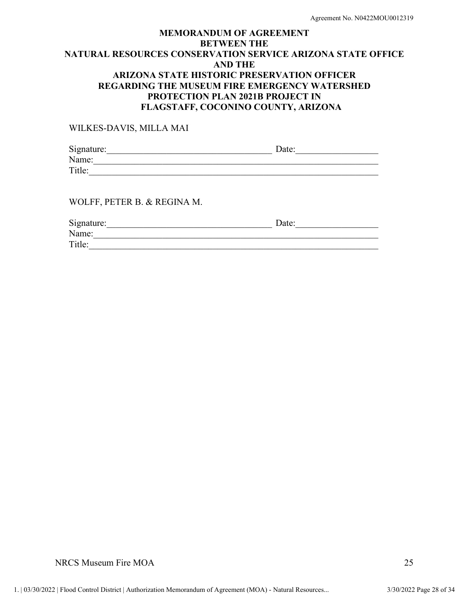WILKES-DAVIS, MILLA MAI

| Signature: | Date: |  |
|------------|-------|--|
| Name:      |       |  |
| Title:     |       |  |
|            |       |  |

WOLFF, PETER B. & REGINA M.

| Signature: | Date: |
|------------|-------|
| Name:      |       |
| Title:     |       |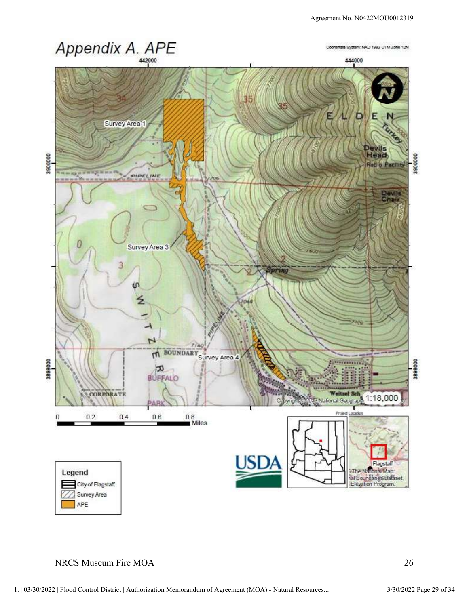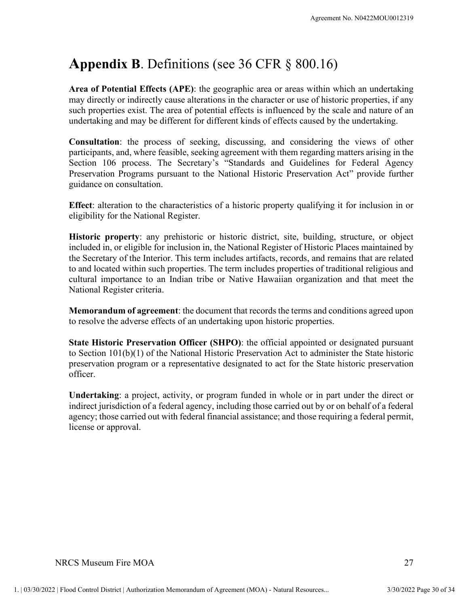# Appendix B. Definitions (see 36 CFR § 800.16)

Area of Potential Effects (APE): the geographic area or areas within which an undertaking may directly or indirectly cause alterations in the character or use of historic properties, if any such properties exist. The area of potential effects is influenced by the scale and nature of an undertaking and may be different for different kinds of effects caused by the undertaking.

Consultation: the process of seeking, discussing, and considering the views of other participants, and, where feasible, seeking agreement with them regarding matters arising in the Section 106 process. The Secretary's "Standards and Guidelines for Federal Agency Preservation Programs pursuant to the National Historic Preservation Act" provide further guidance on consultation. Agreement No. N0422MOU0012319<br> **Appendix B.** Definitionns (see 36 CFR § 800.16)<br>
Area of Potential Effects (APE): the geographic area or areas within which an undertaking<br>
may directly or indirectly cause alterations in t

eligibility for the National Register.

Historic property: any prehistoric or historic district, site, building, structure, or object included in, or eligible for inclusion in, the National Register of Historic Places maintained by the Secretary of the Interior. This term includes artifacts, records, and remains that are related to and located within such properties. The term includes properties of traditional religious and cultural importance to an Indian tribe or Native Hawaiian organization and that meet the National Register criteria.

Memorandum of agreement: the document that records the terms and conditions agreed upon to resolve the adverse effects of an undertaking upon historic properties.

State Historic Preservation Officer (SHPO): the official appointed or designated pursuant to Section 101(b)(1) of the National Historic Preservation Act to administer the State historic preservation program or a representative designated to act for the State historic preservation officer.

preservation program or a representative designated to act for the state instort preservation<br> **Undertaking:** a project, activity, or program funded in whole or in part under the direct or<br>
indirect jurisdiction of a feder Undertaking: a project, activity, or program funded in whole or in part under the direct or indirect jurisdiction of a federal agency, including those carried out by or on behalf of a federal agency; those carried out with federal financial assistance; and those requiring a federal permit, license or approval.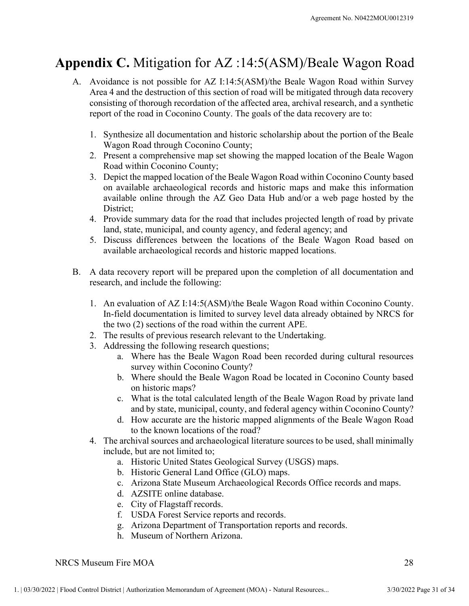## Appendix C. Mitigation for AZ :14:5(ASM)/Beale Wagon Road

- Agreement No. N0422MOU0012319<br> **pendix C.** Mitigation for AZ :14:5(ASM)/Beale Wagon Road<br>
A. Avoidance is not possible for AZ I:14:5(ASM)/the Beale Wagon Road within Survey<br>
Area 4 and the destruction of this section of ro Area 4 and the destruction of this section of road will be mitigated through data recovery consisting of thorough recordation of the affected area, archival research, and a synthetic Agreement No. N0422MOU0012319<br> **ndix C.** Mitigation for AZ :14:5(ASM)/Beale Wagon Road<br>
Avoidance is not possible for AZ I:14:5(ASM)/the Beale Wagon Road within Survey<br>
Area 4 and the destruction of this section of road wi Agreement No. N0422M0U0012319<br>
1. Synthesize all documentation for AZ :14:5(ASM)/Beale Wagon Road<br>
2. Avoidance is not possible for AZ 1:14:5(ASM)/the Beale Wagon Road within Survey<br>
2. Area 4 and the destruction of this s Agreement No. N0422M0U0012319<br> **Agreement No. N0422M0U0012319**<br> **Acoidance is not possible for AZ** :14:5(ASM)/Beale Wagon Road within Survey<br>
Area 4 and the destruction of this section of road will be mitigated through da Agreement No. N0422MOU0012319<br> **Agreement No. N0422MOU0012319**<br> **Avoidance is not possible for AZ :14:5(ASM)/Beale Wagon Road within Survey**<br>
Area 4 and the destruction of this section of froad will be mitigated through da **A. Provide Supering State of A.** 114:5(ASM)/Beale Wagon Road Avoidance is not possible for AZ 1:14:5(ASM)/the Beale Wagon Road within Survey Area 4 and the destruction of this section of road will be mitigated through da **ndix C.** Mitigation for  $AZ : 14:5(ASM)/Beale$  Wagon Road Avoidance is not possible for  $AZ : 14:5(ASM)/the Beale$  Wagon Road within Survey Area 4 and the destruction of this section of road will be mitigated through data recovery consis A. Avoidance is not possible for AZ 1:14:5(ASM)/the Beale Wagon Road within Survey<br>Area 4 and the destruction of this section of road will be mitigated through data recovery<br>consisting of thorough recordation of the affec
	- Wagon Road through Coconino County;
	- Road within Coconino County;
	- on available archaeological records and historic maps and make this information available online through the AZ Geo Data Hub and/or a web page hosted by the District; Expansion of the road in Coconino County. The goals of the data recovery are to:<br>
	1. Synthesize all documentation and historic scholarship about the portion of the Beale<br>
	Wagon Road through Coconino County;<br>
	2. Present a c In-field documentation is limited to survey level data already obtained by Wagon Road through Wagon Road within Coconino County; the solution of the Beale Wagon Road within Coconino County; the mapped location of the Beale 2. Present a comprehensive map of coming Control Computer in the Bealt Road within Coconino County;<br>2. Present a comprehensive map set showing the mapped location of the Beale<br>3. Depict the mapped location of the Beale Wa 2. Present a comprehensive map set showing the mapped location of th<br>
	Road within Coconino County;<br>
	3. Depict the mapped location of the Beale Wagon Road within Coconino<br>
	on available archeadological records and historic m bather work of the Beale Wagon Road bit for the Beale Wagon Road by thin Coconino County<br>d within Coconino County;<br>wist the mapped location of the Beale Wagon Road within Coconino County based<br>wailable onche altroad by the b. Where should the Beale Vagon Road be located in Coconino County based and by the mircit, the minimistry and the AZ Gco Data Hub and/or a web page hosted by the liric, theric, the road that includes projected length of r
	- land, state, municipal, and county agency, and federal agency; and
	- available archaeological records and historic mapped locations.
- research, and include the following:
- the two (2) sections of the road within the current APE. Extrained more and the road that includes projected length of road by private structic;<br>trict;<br>trict;<br>the total calculates projected length of road by private<br>susts differences between the locations of the Beale Wagon Road From the state are four the based are the historic mapped alignments of the Beale Wagon Road based on allable arehaeological records and historic mapped locations.<br>
recovery report will be prepared upon the completion of a 4. The archival solution of the source and archival solution is impled to the completion of all documentation and<br>research, and include the following:<br>
1. An evaluation of AZ 1:14:5(ASM)/the Beale Wagon Road within Coconi recovery report will be prepared upon the completion of all documentation<br>
a., and include the following:<br>
evaluation of AZ I:14:5(ASM)/the Beale Wagon Road within Coconino Cou<br>
cicld documentation is limited to survey lev Exercise to the Beneral Land Office (GLO) maps.<br>
An and include the following:<br>
evaluation of AZ I:14:5(ASM)/the Beale Wagon Road within Coconino<br>
ield documentation is limited to survey level data already obtained by N<br>
t extant of AZ 1:14:5(ASM)/the Beale Wagon Road within Coconino County.<br>
celudidocumentation is limited to survey level data already obtained by NRCS for<br>
field documentation is limited to survey level data already obtained evaluation of AZ I:14:5(ASM)/the Beale Wagon Road within Coconino<br>cield documentation is limited to survey level data already obtained by N<br>two (2) sections of the road within the current APE.<br>results of previous research Francisco Contraction is limited to survey level data already obtained by N<br>idel documentation is limited to survey level data already obtained by N<br>two (2) sections of the road within the current APE.<br>
results of previous
	-
	-
- survey within Coconino County? Frequences are the model of the coate of the coate of the coate and an exact of previous research questions;<br>the coal within the current APE.<br>Tresults of previous research questions;<br>a. Where has the Beale Wagon Road been Fraction of the Bookman of the Conditional Content Content Conditions, a Week Bealt Wayen Rossing the following research relevant to the Undertaking.<br>
Are the Search relevant of the Undertaking.<br>
Are the Search recorded du Fressing the following research questions;<br>
Heressing the following research questions;<br>
a. Where has the Beale Wagon Road been recorded during cultural r<br>
survey within Coconino County?<br>
b. When eshould the Beale Wagon Ro
	- on historic maps?
	- and by state, municipal, county, and federal agency within Coconino County?
	- to the known locations of the road?
- survey within Coconino County?<br>
b. Where should the Beale Wagon Road be located in Coconino County based<br>
on historic maps?<br>
c. What is the total calculated length of the Beale Wagon Road by private land<br>
and by state, mu include, but are not limited to;
	-
	-
	-
	-
	-
	-
	-
	-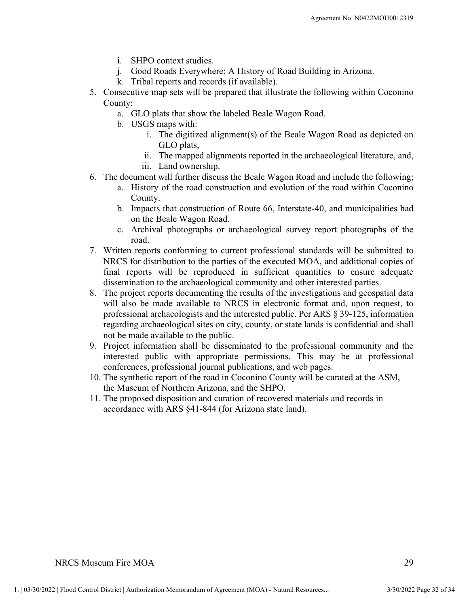- 
- 
- 
- Agreement No. N0422MC<br>
i. SHPO context studies.<br>
j. Good Roads Everywhere: A History of Road Building in Arizona.<br>
k. Tribal reports and records (if available).<br>
issecutive map sets will be prepared that illustrate the fol Agreement No. N0422MOU0012319<br>
i. SHPO context studies.<br>
j. Good Roads Everywhere: A History of Road Building in Arizona.<br>
k. Tribal reports and records (if available).<br>
secutive map sets will be prepared that illustrate t Agreement No. N0422MC<br>
i. SHPO context studies.<br>
j. Good Roads Everywhere: A History of Road Building in Arizona.<br>
k. Tribal reports and records (if available).<br>
secutive map sets will be prepared that illustrate the follo 5. SHPO context studies.<br>
5. Good Roads Everywhere: A History of Road Building in Arizona.<br>
5. Consecutive map sets will be prepared that illustrate the following within Coconino<br>
5. Consecutive map sets will be prepared t County; Agreement No. N0422MOI<br>
i. SHPO context studies.<br>
j. Good Roads Everywhere: A History of Road Building in Arizona.<br>
k. Tribal reports and records (if available).<br>
secutive map sets will be prepared that illustrate the foll Agreement No. N0422MC<br>
i. SHPO context studies.<br>
i. Good Roads Everywhere: A History of Road Building in Arizona.<br>
k. Tribal reports and records (if available).<br>
securive map sets will be prepared that illustrate the follo Agreement No. N0422MOU0012319<br>
1. SHPO context studies.<br>
3. Good Roads Everywhere: A History of Road Building in Arizona.<br>
1. Tribal reports and records (if available).<br>
5. Consecutive map sets will be prepared that illust
	-
	-
- Superment No. N0422MOU0012319<br>
20 Context studies.<br>
20 Context studies.<br>
20 Context studies.<br>
21 Context studies (if available).<br>
21 Context studies and records (if available).<br>
21 Context studies the Beale Wagon Road.<br>
21 GLO plats,
	-
- 
- incoment No. N0422MOU0012319<br>
PO context studies.<br>
Explores and records (if available).<br>
Explores and records (if available).<br>
Explores and records (if available).<br>
Explore map sets will be prepared that illustrate the fol Agreement No. N0422MOU001231<br>
Agreement No. N0422MOU001231<br>
De Context studies.<br>
Context studies.<br>
Context studies.<br>
Context studies (if available).<br>
Context studies that correct is available).<br>
Context studies be prepared County.
- Agreement No. N0422MOU0012319<br>
3. SHPO context studies.<br>
3. Good Roads Everywhere: A History of Road Building in Arizona.<br>
4. Tribal reports and records (if available).<br>
1. The digitarized and evolution and the road within on the Beale Wagon Road.
- Agreement No. N0422MOU0012319<br>
1. SHPO context studies.<br>
1. Good Roads Everywhere: A History of Road Building in Arizona.<br>
1. Tribal reports and records (if available).<br>
1. The digitized alignment(s) of the Beale Wagon Roa road.
- i. SHPO context studies.<br>
C. Good Roads Everywhere: A History of Road Building in Arizona.<br>
K. Tribal reports and records (if available).<br>
Inty;<br>
a. GLO plats that show the labeled Beale Wagon Road.<br>
Inty;<br>
a. GLO plats th 1. SHPO context studies.<br>
3. Good Road Building in Arizona.<br>
1. Good Road Suicywhere: A History of Road Building in Arizona.<br>
5. Consecutive map sets will be prepared that illustrate the following within Coconino<br>
county, NRCS for distribution to the parties of the executed MOA, and additional copies of final reports will be reproduced in sufficient quantities to ensure adequate dissemination to the archaeological community and other interested parties.
- Example 10. USS and the projection and the selection of the Beale Wagon Road.<br>
1. The digitized alignment(s) of the Beale Wagon Road as depicted on<br>
1. The digitized alignments reported in the archaeological literature, a will also be made available to NRCS in electronic format and, upon request, to professional archaeologists and the interested public. Per ARS § 39-125, information regarding archaeological sites on city, county, or state lands is confidential and shall not be made available to the public. 9. Provided in the archaeological literature, and, iii. Land ownership.<br>
19. Promation shall further dissemises the Beale Wagon Road and include the following;<br>
2. History of the road construction and evolution of the road 1. The counter will calculate concession and evolution of the road within Coconino<br>
2. History of the road construction and evolution of the road within Coconino<br>
2. C. Archival photographs or archaeological survey report 1. The Beak Waysington and Route 66, Interstate-40, and municipalities had<br>
2. Archival photographs or archaeological survey report photographs of<br>
2. Archival photographs or archaeological survey report photographs of<br>
2.
- interested public with appropriate permissions. This may be at professional conferences, professional journal publications, and web pages.
- confirences, professional journal publications, and web pages.<br>
10. The synthetic report of the read in Coconino County will be curated at the ASM,<br>
the Museum of Northern Arizona, and the SHPO.<br>
11. The proposed dispositi the Museum of Northern Arizona, and the SHPO.
	- accordance with ARS §41-844 (for Arizona state land).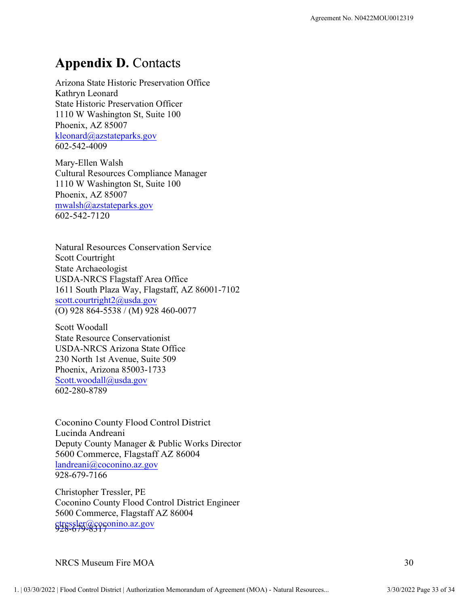## **Appendix D. Contacts**

Arizona State Historic Preservation Office Kathryn Leonard State Historic Preservation Officer 1110 W Washington St, Suite 100 Phoenix, AZ 85007 kleonard@azstateparks.gov 602-542-4009

Mary-Ellen Walsh Cultural Resources Compliance Manager 1110 W Washington St, Suite 100 Phoenix, AZ 85007 mwalsh@azstateparks.gov 602-542-7120

Natural Resources Conservation Service Scott Courtright State Archaeologist USDA-NRCS Flagstaff Area Office 1611 South Plaza Way, Flagstaff, AZ 86001-7102 scott.courtright2@usda.gov 1110 W Washington St, Suite 100<br>
<u>Phoenix, AZ 85007</u><br>
<u>Rieonard@azstateparks.gov</u><br>
602-542-4009<br>
Mary-Ellen Walsh<br>
Cultural Resources Compliance Manager<br>
1110 W Washington St, Suite 100<br>
<u>Memoir, AZ 85007</u><br>
<u>mwalsh@azstate</u>

Scott Woodall State Resource Conservationist USDA-NRCS Arizona State Office 230 North 1st Avenue, Suite 509 Phoenix, Arizona 85003-1733 Scott.woodall@usda.gov 602-280-8789

Phocnix, Arizona 85003-1733<br>
Scott.woodall@usda.gov<br>
Scott.woodall@usda.gov<br>
Coconino County Flood Control District<br>
Deputy County Manager & Public Works Director<br>
Scott Commerce, Flagstaff AZ 86004<br>
Mandenni@coconino.az.g Coconino County Flood Control District Lucinda Andreani Deputy County Manager & Public Works Director 5600 Commerce, Flagstaff AZ 86004 landreani@coconino.az.gov 928-679-7166

Christopher Tressler, PE Coconino County Flood Control District Engineer 5600 Commerce, Flagstaff AZ 86004 ctressler@coconino.az.gov 928-679-8317